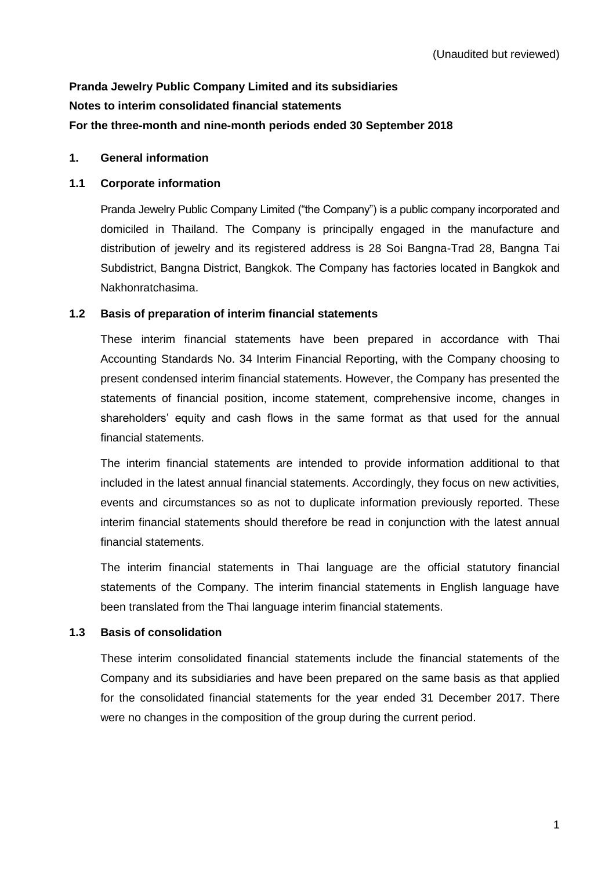# **Pranda Jewelry Public Company Limited and its subsidiaries Notes to interim consolidated financial statements For the three-month and nine-month periods ended 30 September 2018**

# **1. General information**

# **1.1 Corporate information**

Pranda Jewelry Public Company Limited ("the Company") is a public company incorporated and domiciled in Thailand. The Company is principally engaged in the manufacture and distribution of jewelry and its registered address is 28 Soi Bangna-Trad 28, Bangna Tai Subdistrict, Bangna District, Bangkok. The Company has factories located in Bangkok and Nakhonratchasima.

# **1.2 Basis of preparation of interim financial statements**

These interim financial statements have been prepared in accordance with Thai Accounting Standards No. 34 Interim Financial Reporting, with the Company choosing to present condensed interim financial statements. However, the Company has presented the statements of financial position, income statement, comprehensive income, changes in shareholders' equity and cash flows in the same format as that used for the annual financial statements.

The interim financial statements are intended to provide information additional to that included in the latest annual financial statements. Accordingly, they focus on new activities, events and circumstances so as not to duplicate information previously reported. These interim financial statements should therefore be read in conjunction with the latest annual financial statements.

The interim financial statements in Thai language are the official statutory financial statements of the Company. The interim financial statements in English language have been translated from the Thai language interim financial statements.

# **1.3 Basis of consolidation**

These interim consolidated financial statements include the financial statements of the Company and its subsidiaries and have been prepared on the same basis as that applied for the consolidated financial statements for the year ended 31 December 2017. There were no changes in the composition of the group during the current period.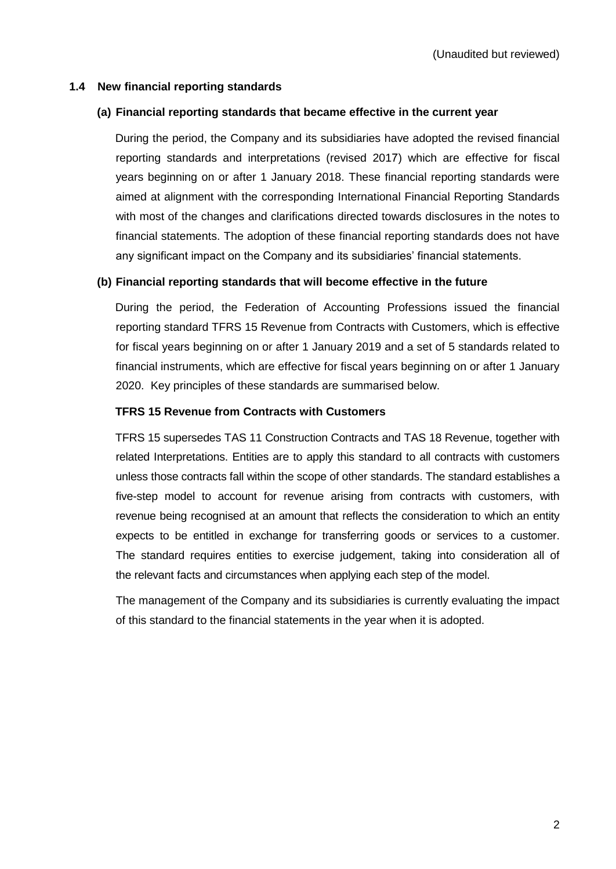# **1.4 New financial reporting standards**

# **(a) Financial reporting standards that became effective in the current year**

During the period, the Company and its subsidiaries have adopted the revised financial reporting standards and interpretations (revised 2017) which are effective for fiscal years beginning on or after 1 January 2018. These financial reporting standards were aimed at alignment with the corresponding International Financial Reporting Standards with most of the changes and clarifications directed towards disclosures in the notes to financial statements. The adoption of these financial reporting standards does not have any significant impact on the Company and its subsidiaries' financial statements.

# **(b) Financial reporting standards that will become effective in the future**

During the period, the Federation of Accounting Professions issued the financial reporting standard TFRS 15 Revenue from Contracts with Customers, which is effective for fiscal years beginning on or after 1 January 2019 and a set of 5 standards related to financial instruments, which are effective for fiscal years beginning on or after 1 January 2020. Key principles of these standards are summarised below.

#### **TFRS 15 Revenue from Contracts with Customers**

TFRS 15 supersedes TAS 11 Construction Contracts and TAS 18 Revenue, together with related Interpretations. Entities are to apply this standard to all contracts with customers unless those contracts fall within the scope of other standards. The standard establishes a five-step model to account for revenue arising from contracts with customers, with revenue being recognised at an amount that reflects the consideration to which an entity expects to be entitled in exchange for transferring goods or services to a customer. The standard requires entities to exercise judgement, taking into consideration all of the relevant facts and circumstances when applying each step of the model.

The management of the Company and its subsidiaries is currently evaluating the impact of this standard to the financial statements in the year when it is adopted.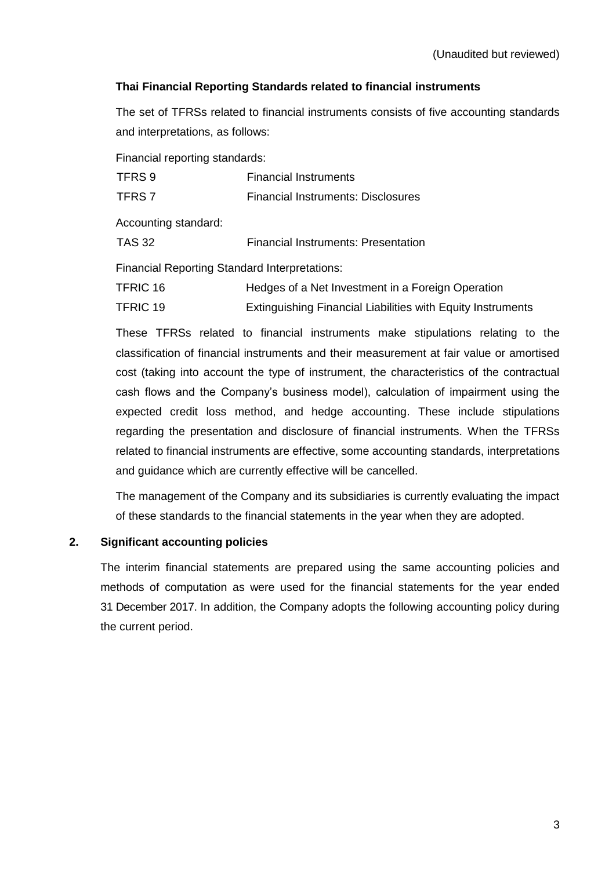# **Thai Financial Reporting Standards related to financial instruments**

The set of TFRSs related to financial instruments consists of five accounting standards and interpretations, as follows:

Financial reporting standards:

| TFRS <sub>9</sub>                                    | <b>Financial Instruments</b>                                |
|------------------------------------------------------|-------------------------------------------------------------|
| TFRS <sub>7</sub>                                    | <b>Financial Instruments: Disclosures</b>                   |
| Accounting standard:                                 |                                                             |
| TAS 32                                               | <b>Financial Instruments: Presentation</b>                  |
| <b>Financial Reporting Standard Interpretations:</b> |                                                             |
| <b>TFRIC 16</b>                                      | Hedges of a Net Investment in a Foreign Operation           |
| <b>TFRIC 19</b>                                      | Extinguishing Financial Liabilities with Equity Instruments |

These TFRSs related to financial instruments make stipulations relating to the classification of financial instruments and their measurement at fair value or amortised cost (taking into account the type of instrument, the characteristics of the contractual cash flows and the Company's business model), calculation of impairment using the expected credit loss method, and hedge accounting. These include stipulations regarding the presentation and disclosure of financial instruments. When the TFRSs related to financial instruments are effective, some accounting standards, interpretations and guidance which are currently effective will be cancelled.

The management of the Company and its subsidiaries is currently evaluating the impact of these standards to the financial statements in the year when they are adopted.

# **2. Significant accounting policies**

The interim financial statements are prepared using the same accounting policies and methods of computation as were used for the financial statements for the year ended 31 December 2017. In addition, the Company adopts the following accounting policy during the current period.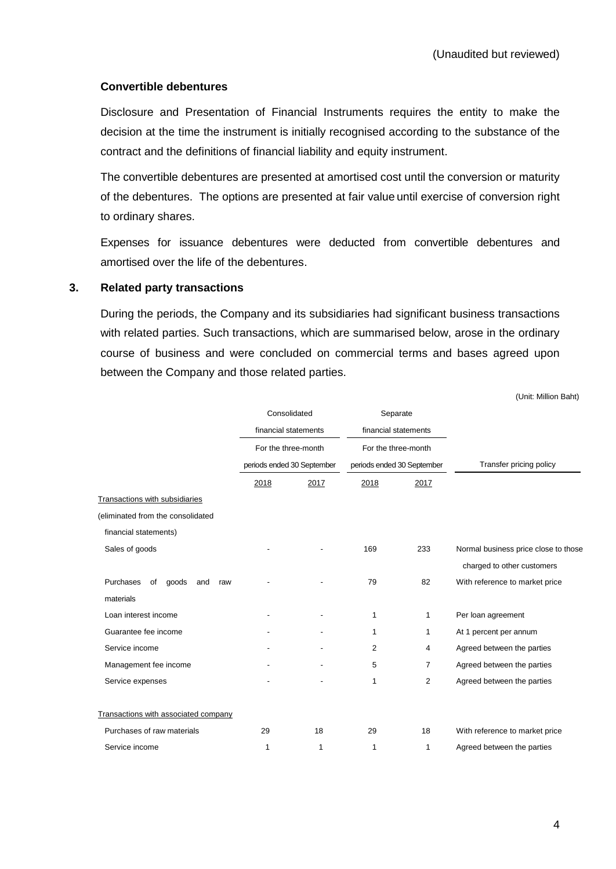# **Convertible debentures**

Disclosure and Presentation of Financial Instruments requires the entity to make the decision at the time the instrument is initially recognised according to the substance of the contract and the definitions of financial liability and equity instrument.

The convertible debentures are presented at amortised cost until the conversion or maturity of the debentures. The options are presented at fair value until exercise of conversion right to ordinary shares.

Expenses for issuance debentures were deducted from convertible debentures and amortised over the life of the debentures.

#### **3. Related party transactions**

During the periods, the Company and its subsidiaries had significant business transactions with related parties. Such transactions, which are summarised below, arose in the ordinary course of business and were concluded on commercial terms and bases agreed upon between the Company and those related parties.

|                                        | Consolidated               |                      | Separate            |                            |                                      |
|----------------------------------------|----------------------------|----------------------|---------------------|----------------------------|--------------------------------------|
|                                        |                            | financial statements |                     | financial statements       |                                      |
|                                        | For the three-month        |                      | For the three-month |                            |                                      |
|                                        | periods ended 30 September |                      |                     | periods ended 30 September | Transfer pricing policy              |
|                                        | 2018                       | 2017                 | 2018                | 2017                       |                                      |
| Transactions with subsidiaries         |                            |                      |                     |                            |                                      |
| (eliminated from the consolidated      |                            |                      |                     |                            |                                      |
| financial statements)                  |                            |                      |                     |                            |                                      |
| Sales of goods                         |                            |                      | 169                 | 233                        | Normal business price close to those |
|                                        |                            |                      |                     |                            | charged to other customers           |
| Purchases<br>of<br>goods<br>and<br>raw |                            |                      | 79                  | 82                         | With reference to market price       |
| materials                              |                            |                      |                     |                            |                                      |
| Loan interest income                   |                            |                      | 1                   | 1                          | Per loan agreement                   |
| Guarantee fee income                   |                            |                      | 1                   | 1                          | At 1 percent per annum               |
| Service income                         |                            |                      | 2                   | 4                          | Agreed between the parties           |
| Management fee income                  |                            |                      | 5                   | 7                          | Agreed between the parties           |
| Service expenses                       |                            |                      | 1                   | 2                          | Agreed between the parties           |
| Transactions with associated company   |                            |                      |                     |                            |                                      |
| Purchases of raw materials             | 29                         | 18                   | 29                  | 18                         | With reference to market price       |
| Service income                         | 1                          | 1                    | 1                   | 1                          | Agreed between the parties           |

(Unit: Million Baht)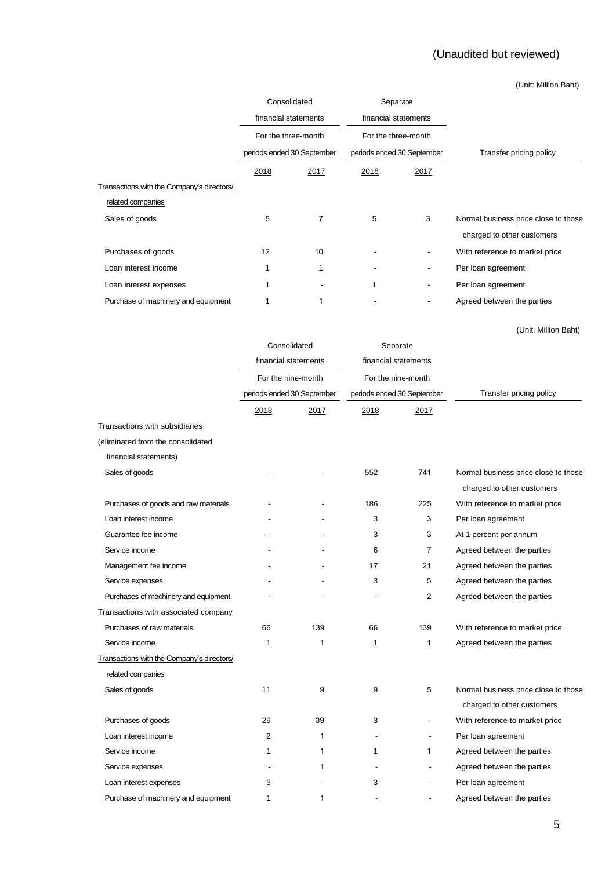# (Unaudited but reviewed)

(Unit: Million Baht)

|                                            |                      | Consolidated                                      |                      | Separate                   |                                      |
|--------------------------------------------|----------------------|---------------------------------------------------|----------------------|----------------------------|--------------------------------------|
|                                            | financial statements |                                                   | financial statements |                            |                                      |
|                                            |                      | For the three-month<br>periods ended 30 September |                      | For the three-month        |                                      |
|                                            |                      |                                                   |                      | periods ended 30 September | Transfer pricing policy              |
|                                            | 2018                 | 2017                                              | 2018                 | 2017                       |                                      |
| Transactions with the Company's directors/ |                      |                                                   |                      |                            |                                      |
| related companies                          |                      |                                                   |                      |                            |                                      |
| Sales of goods                             | 5                    | 7                                                 | 5                    | 3                          | Normal business price close to those |
|                                            |                      |                                                   |                      |                            | charged to other customers           |
| Purchases of goods                         | 12                   | 10                                                |                      |                            | With reference to market price       |
| Loan interest income                       |                      |                                                   |                      | -                          | Per loan agreement                   |
| Loan interest expenses                     |                      | -                                                 | 1                    | -                          | Per loan agreement                   |
| Purchase of machinery and equipment        |                      |                                                   |                      |                            | Agreed between the parties           |
|                                            |                      |                                                   |                      |                            |                                      |

(Unit: Million Baht)

|                                            | Consolidated                               |                            | Separate                   |                      |                                      |
|--------------------------------------------|--------------------------------------------|----------------------------|----------------------------|----------------------|--------------------------------------|
|                                            | financial statements<br>For the nine-month |                            |                            | financial statements |                                      |
|                                            |                                            |                            |                            | For the nine-month   |                                      |
|                                            |                                            | periods ended 30 September | periods ended 30 September |                      | Transfer pricing policy              |
|                                            | 2018                                       | 2017                       | 2018                       | 2017                 |                                      |
| <b>Transactions with subsidiaries</b>      |                                            |                            |                            |                      |                                      |
| (eliminated from the consolidated          |                                            |                            |                            |                      |                                      |
| financial statements)                      |                                            |                            |                            |                      |                                      |
| Sales of goods                             |                                            |                            | 552                        | 741                  | Normal business price close to those |
|                                            |                                            |                            |                            |                      | charged to other customers           |
| Purchases of goods and raw materials       |                                            |                            | 186                        | 225                  | With reference to market price       |
| Loan interest income                       |                                            |                            | 3                          | 3                    | Per loan agreement                   |
| Guarantee fee income                       |                                            |                            | 3                          | 3                    | At 1 percent per annum               |
| Service income                             |                                            |                            | 6                          | $\overline{7}$       | Agreed between the parties           |
| Management fee income                      |                                            |                            | 17                         | 21                   | Agreed between the parties           |
| Service expenses                           |                                            |                            | 3                          | 5                    | Agreed between the parties           |
| Purchases of machinery and equipment       |                                            |                            |                            | $\overline{2}$       | Agreed between the parties           |
| Transactions with associated company       |                                            |                            |                            |                      |                                      |
| Purchases of raw materials                 | 66                                         | 139                        | 66                         | 139                  | With reference to market price       |
| Service income                             | 1                                          | 1                          | $\mathbf{1}$               | 1                    | Agreed between the parties           |
| Transactions with the Company's directors/ |                                            |                            |                            |                      |                                      |
| related companies                          |                                            |                            |                            |                      |                                      |
| Sales of goods                             | 11                                         | 9                          | 9                          | 5                    | Normal business price close to those |
|                                            |                                            |                            |                            |                      | charged to other customers           |
| Purchases of goods                         | 29                                         | 39                         | 3                          |                      | With reference to market price       |
| Loan interest income                       | 2                                          | 1                          |                            |                      | Per loan agreement                   |
| Service income                             | 1                                          | 1                          | 1                          | 1                    | Agreed between the parties           |
| Service expenses                           |                                            | 1                          |                            |                      | Agreed between the parties           |
| Loan interest expenses                     | 3                                          |                            | 3                          |                      | Per loan agreement                   |
| Purchase of machinery and equipment        | 1                                          | 1                          |                            |                      | Agreed between the parties           |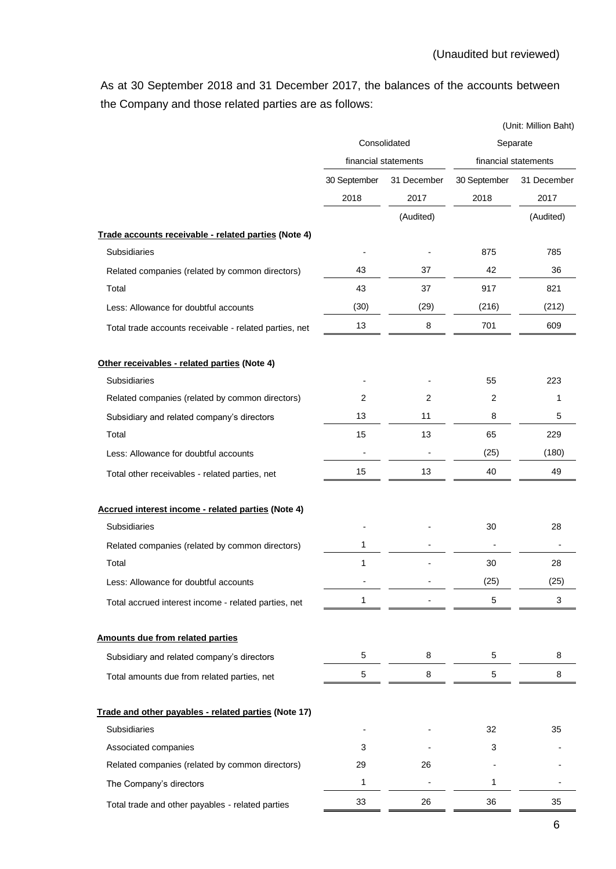As at 30 September 2018 and 31 December 2017, the balances of the accounts between the Company and those related parties are as follows:

|                                                        |                |                      | (Unit: Million Baht) |                      |  |
|--------------------------------------------------------|----------------|----------------------|----------------------|----------------------|--|
|                                                        | Consolidated   |                      |                      | Separate             |  |
|                                                        |                | financial statements |                      | financial statements |  |
|                                                        | 30 September   | 31 December          | 30 September         | 31 December          |  |
|                                                        | 2018           | 2017                 | 2018                 | 2017                 |  |
|                                                        |                | (Audited)            |                      | (Audited)            |  |
| Trade accounts receivable - related parties (Note 4)   |                |                      |                      |                      |  |
| Subsidiaries                                           |                |                      | 875                  | 785                  |  |
| Related companies (related by common directors)        | 43             | 37                   | 42                   | 36                   |  |
| Total                                                  | 43             | 37                   | 917                  | 821                  |  |
| Less: Allowance for doubtful accounts                  | (30)           | (29)                 | (216)                | (212)                |  |
| Total trade accounts receivable - related parties, net | 13             | 8                    | 701                  | 609                  |  |
| Other receivables - related parties (Note 4)           |                |                      |                      |                      |  |
| Subsidiaries                                           |                |                      | 55                   | 223                  |  |
| Related companies (related by common directors)        | $\overline{2}$ | $\overline{2}$       | $\overline{c}$       | 1                    |  |
| Subsidiary and related company's directors             | 13             | 11                   | 8                    | 5                    |  |
| Total                                                  | 15             | 13                   | 65                   | 229                  |  |
| Less: Allowance for doubtful accounts                  |                |                      | (25)                 | (180)                |  |
| Total other receivables - related parties, net         | 15             | 13                   | 40                   | 49                   |  |
| Accrued interest income - related parties (Note 4)     |                |                      |                      |                      |  |
| Subsidiaries                                           |                |                      | 30                   | 28                   |  |
| Related companies (related by common directors)        | 1              |                      |                      |                      |  |
| Total                                                  | 1              |                      | 30                   | 28                   |  |
| Less: Allowance for doubtful accounts                  |                |                      | (25)                 | (25)                 |  |
| Total accrued interest income - related parties, net   | 1              |                      | 5                    | 3                    |  |
| Amounts due from related parties                       |                |                      |                      |                      |  |
| Subsidiary and related company's directors             | 5              | 8                    | 5                    | 8                    |  |
| Total amounts due from related parties, net            | 5              | 8                    | 5                    | 8                    |  |
| Trade and other payables - related parties (Note 17)   |                |                      |                      |                      |  |
| Subsidiaries                                           |                |                      | 32                   | 35                   |  |
| Associated companies                                   | 3              |                      | 3                    |                      |  |
| Related companies (related by common directors)        | 29             | 26                   |                      |                      |  |
| The Company's directors                                | 1              |                      | 1                    |                      |  |
| Total trade and other payables - related parties       | 33             | 26                   | 36                   | 35                   |  |
|                                                        |                |                      |                      |                      |  |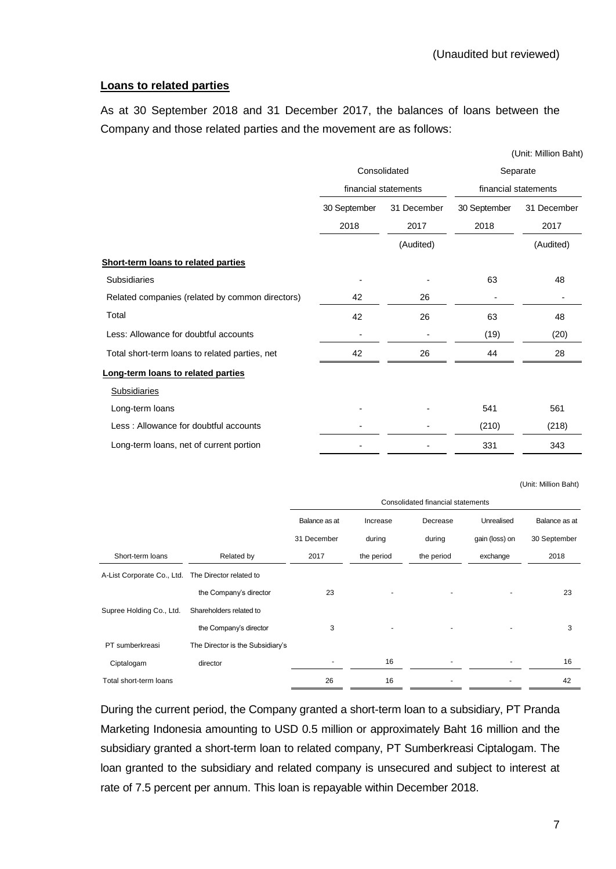# **Loans to related parties**

As at 30 September 2018 and 31 December 2017, the balances of loans between the Company and those related parties and the movement are as follows:

|                                                 |                      |                      |                      | (Unit: Million Baht) |  |
|-------------------------------------------------|----------------------|----------------------|----------------------|----------------------|--|
|                                                 | Consolidated         |                      |                      | Separate             |  |
|                                                 |                      | financial statements |                      | financial statements |  |
|                                                 | 30 September<br>2018 | 31 December<br>2017  | 30 September<br>2018 | 31 December<br>2017  |  |
|                                                 |                      | (Audited)            |                      | (Audited)            |  |
| Short-term loans to related parties             |                      |                      |                      |                      |  |
| <b>Subsidiaries</b>                             |                      |                      | 63                   | 48                   |  |
| Related companies (related by common directors) | 42                   | 26                   |                      |                      |  |
| Total                                           | 42                   | 26                   | 63                   | 48                   |  |
| Less: Allowance for doubtful accounts           |                      |                      | (19)                 | (20)                 |  |
| Total short-term loans to related parties, net  | 42                   | 26                   | 44                   | 28                   |  |
| Long-term loans to related parties              |                      |                      |                      |                      |  |
| <b>Subsidiaries</b>                             |                      |                      |                      |                      |  |
| Long-term loans                                 |                      |                      | 541                  | 561                  |  |
| Less: Allowance for doubtful accounts           |                      |                      | (210)                | (218)                |  |
| Long-term loans, net of current portion         |                      |                      | 331                  | 343                  |  |

(Unit: Million Baht)

|                            |                                  | Consolidated financial statements |            |            |                |               |
|----------------------------|----------------------------------|-----------------------------------|------------|------------|----------------|---------------|
|                            |                                  | Balance as at                     | Increase   | Decrease   | Unrealised     | Balance as at |
|                            |                                  | 31 December                       | during     | during     | gain (loss) on | 30 September  |
| Short-term loans           | Related by                       | 2017                              | the period | the period | exchange       | 2018          |
| A-List Corporate Co., Ltd. | The Director related to          |                                   |            |            |                |               |
|                            | the Company's director           | 23                                |            | ٠          |                | 23            |
| Supree Holding Co., Ltd.   | Shareholders related to          |                                   |            |            |                |               |
|                            | the Company's director           | 3                                 |            |            |                | 3             |
| PT sumberkreasi            | The Director is the Subsidiary's |                                   |            |            |                |               |
| Ciptalogam                 | director                         |                                   | 16         |            |                | 16            |
| Total short-term loans     |                                  | 26                                | 16         |            |                | 42            |

During the current period, the Company granted a short-term loan to a subsidiary, PT Pranda Marketing Indonesia amounting to USD 0.5 million or approximately Baht 16 million and the subsidiary granted a short-term loan to related company, PT Sumberkreasi Ciptalogam. The loan granted to the subsidiary and related company is unsecured and subject to interest at rate of 7.5 percent per annum. This loan is repayable within December 2018.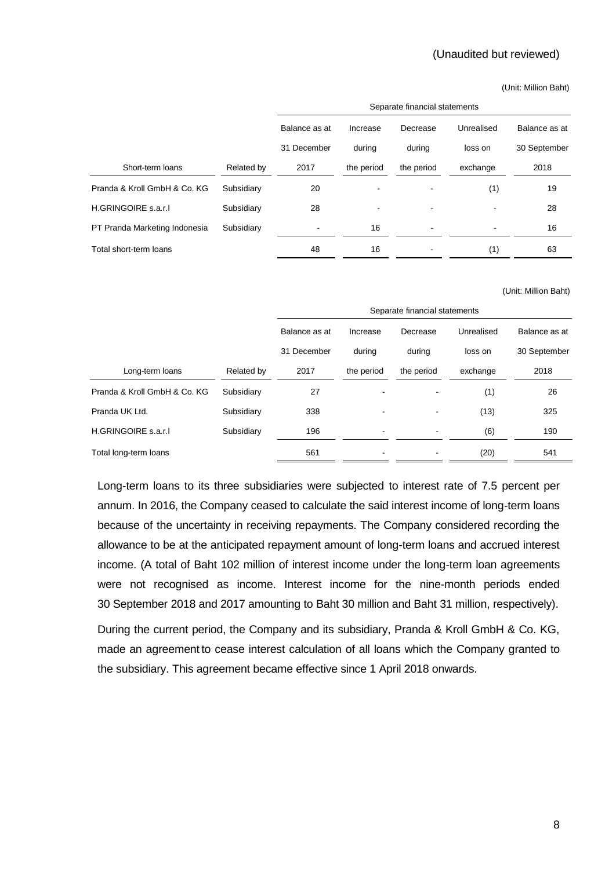#### (Unaudited but reviewed)

(Unit: Million Baht)

|                               |            | Separate financial statements |            |            |            |               |
|-------------------------------|------------|-------------------------------|------------|------------|------------|---------------|
|                               |            | Balance as at                 | Increase   | Decrease   | Unrealised | Balance as at |
|                               |            | 31 December                   | during     | during     | loss on    | 30 September  |
| Short-term loans              | Related by | 2017                          | the period | the period | exchange   | 2018          |
| Pranda & Kroll GmbH & Co. KG  | Subsidiary | 20                            |            |            | (1)        | 19            |
| H.GRINGOIRE s.a.r.I           | Subsidiary | 28                            |            |            |            | 28            |
| PT Pranda Marketing Indonesia | Subsidiary |                               | 16         | ۰          |            | 16            |
| Total short-term loans        |            | 48                            | 16         |            | (1)        | 63            |

#### (Unit: Million Baht)

|                              |            | Separate financial statements |            |            |            |               |  |
|------------------------------|------------|-------------------------------|------------|------------|------------|---------------|--|
|                              |            | Balance as at                 | Increase   | Decrease   | Unrealised | Balance as at |  |
|                              |            | 31 December                   | during     | during     | loss on    | 30 September  |  |
| Long-term loans              | Related by | 2017                          | the period | the period | exchange   | 2018          |  |
| Pranda & Kroll GmbH & Co. KG | Subsidiary | 27                            |            |            | (1)        | 26            |  |
| Pranda UK Ltd.               | Subsidiary | 338                           | -          |            | (13)       | 325           |  |
| H.GRINGOIRE s.a.r.I          | Subsidiary | 196                           |            |            | (6)        | 190           |  |
| Total long-term loans        |            | 561                           |            |            | (20)       | 541           |  |

Long-term loans to its three subsidiaries were subjected to interest rate of 7.5 percent per annum. In 2016, the Company ceased to calculate the said interest income of long-term loans because of the uncertainty in receiving repayments. The Company considered recording the allowance to be at the anticipated repayment amount of long-term loans and accrued interest income. (A total of Baht 102 million of interest income under the long-term loan agreements were not recognised as income. Interest income for the nine-month periods ended 30 September 2018 and 2017 amounting to Baht 30 million and Baht 31 million, respectively).

During the current period, the Company and its subsidiary, Pranda & Kroll GmbH & Co. KG, made an agreement to cease interest calculation of all loans which the Company granted to the subsidiary. This agreement became effective since 1 April 2018 onwards.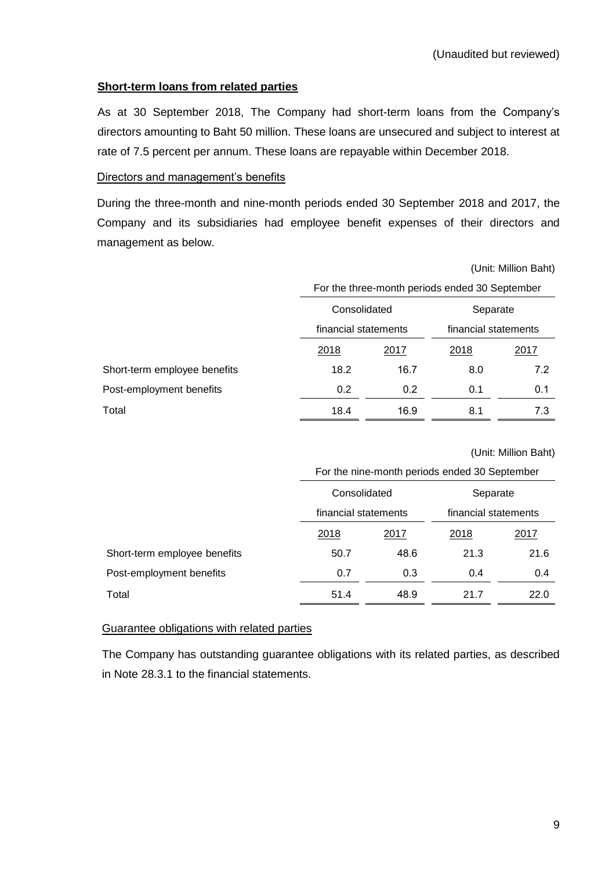# **Short-term loans from related parties**

As at 30 September 2018, The Company had short-term loans from the Company's directors amounting to Baht 50 million. These loans are unsecured and subject to interest at rate of 7.5 percent per annum. These loans are repayable within December 2018.

# Directors and management's benefits

During the three-month and nine-month periods ended 30 September 2018 and 2017, the Company and its subsidiaries had employee benefit expenses of their directors and management as below.

|                              | (Unit: Million Baht)                           |                      |                      |      |  |  |
|------------------------------|------------------------------------------------|----------------------|----------------------|------|--|--|
|                              | For the three-month periods ended 30 September |                      |                      |      |  |  |
|                              |                                                | Consolidated         | Separate             |      |  |  |
|                              |                                                | financial statements | financial statements |      |  |  |
|                              | 2018                                           | 2017                 | 2018                 | 2017 |  |  |
| Short-term employee benefits | 18.2                                           | 16.7                 | 8.0                  | 7.2  |  |  |
| Post-employment benefits     | 0.2                                            | 0.2                  | 0.1                  | 0.1  |  |  |
| Total                        | 18.4                                           | 16.9                 | 8.1                  | 7.3  |  |  |

(Unit: Million Baht)

|                              | Consolidated         |      | Separate             |      |  |
|------------------------------|----------------------|------|----------------------|------|--|
|                              | financial statements |      | financial statements |      |  |
|                              | 2018                 | 2017 | 2018                 | 2017 |  |
| Short-term employee benefits | 50.7                 | 48.6 | 21.3                 | 21.6 |  |
| Post-employment benefits     | 0.7                  | 0.3  | 0.4                  | 0.4  |  |
| Total                        | 51.4                 | 48.9 | 21.7                 | 22.0 |  |

#### Guarantee obligations with related parties

The Company has outstanding guarantee obligations with its related parties, as described in Note 28.3.1 to the financial statements.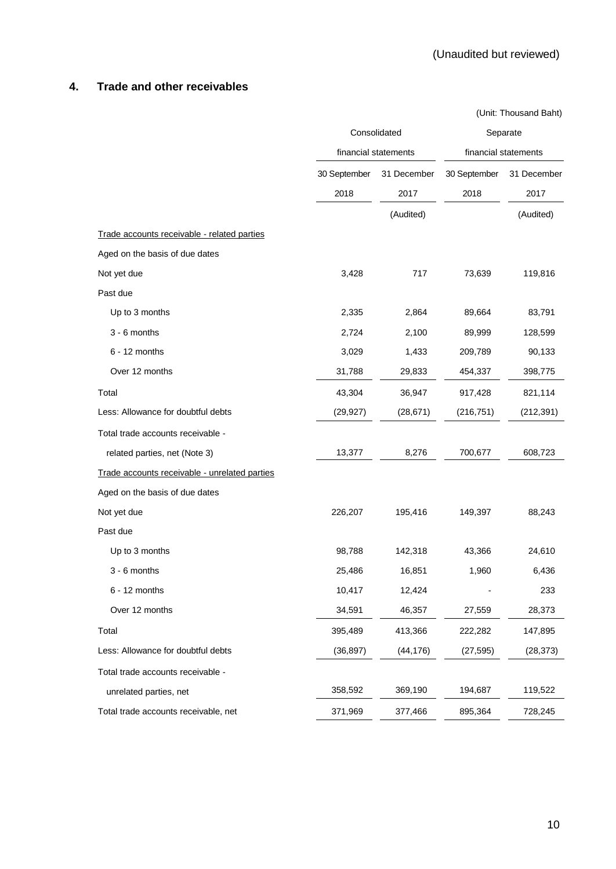# **4. Trade and other receivables**

|                                               | Consolidated         |                     | Separate             |                     |
|-----------------------------------------------|----------------------|---------------------|----------------------|---------------------|
|                                               | financial statements |                     | financial statements |                     |
|                                               | 30 September<br>2018 | 31 December<br>2017 | 30 September<br>2018 | 31 December<br>2017 |
|                                               |                      | (Audited)           |                      | (Audited)           |
| Trade accounts receivable - related parties   |                      |                     |                      |                     |
| Aged on the basis of due dates                |                      |                     |                      |                     |
| Not yet due                                   | 3,428                | 717                 | 73,639               | 119,816             |
| Past due                                      |                      |                     |                      |                     |
| Up to 3 months                                | 2,335                | 2,864               | 89,664               | 83,791              |
| 3 - 6 months                                  | 2,724                | 2,100               | 89,999               | 128,599             |
| $6 - 12$ months                               | 3,029                | 1,433               | 209,789              | 90,133              |
| Over 12 months                                | 31,788               | 29,833              | 454,337              | 398,775             |
| Total                                         | 43,304               | 36,947              | 917,428              | 821,114             |
| Less: Allowance for doubtful debts            | (29, 927)            | (28, 671)           | (216, 751)           | (212, 391)          |
| Total trade accounts receivable -             |                      |                     |                      |                     |
| related parties, net (Note 3)                 | 13,377               | 8,276               | 700,677              | 608,723             |
| Trade accounts receivable - unrelated parties |                      |                     |                      |                     |
| Aged on the basis of due dates                |                      |                     |                      |                     |
| Not yet due                                   | 226,207              | 195,416             | 149,397              | 88,243              |
| Past due                                      |                      |                     |                      |                     |
| Up to 3 months                                | 98,788               | 142,318             | 43,366               | 24,610              |
| 3 - 6 months                                  | 25,486               | 16,851              | 1,960                | 6,436               |
| $6 - 12$ months                               | 10,417               | 12,424              |                      | 233                 |
| Over 12 months                                | 34,591               | 46,357              | 27,559               | 28,373              |
| Total                                         | 395,489              | 413,366             | 222,282              | 147,895             |
| Less: Allowance for doubtful debts            | (36, 897)            | (44, 176)           | (27, 595)            | (28, 373)           |
| Total trade accounts receivable -             |                      |                     |                      |                     |
| unrelated parties, net                        | 358,592              | 369,190             | 194,687              | 119,522             |
| Total trade accounts receivable, net          | 371,969              | 377,466             | 895,364              | 728,245             |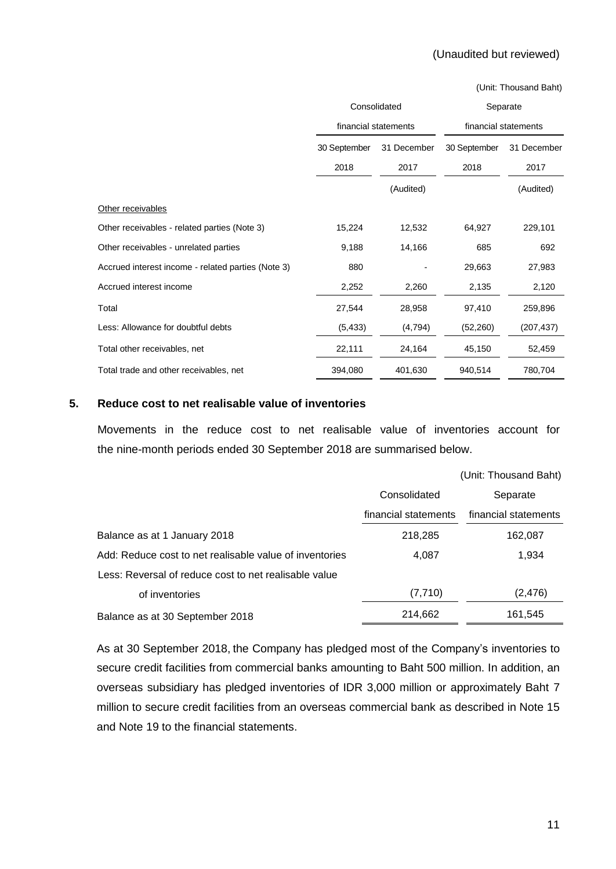#### (Unaudited but reviewed)

(Unit: Thousand Baht)

|                                                    | Consolidated         |             | Separate             |             |
|----------------------------------------------------|----------------------|-------------|----------------------|-------------|
|                                                    | financial statements |             | financial statements |             |
|                                                    | 30 September         | 31 December | 30 September         | 31 December |
|                                                    | 2018                 | 2017        | 2018                 | 2017        |
|                                                    |                      | (Audited)   |                      | (Audited)   |
| Other receivables                                  |                      |             |                      |             |
| Other receivables - related parties (Note 3)       | 15,224               | 12,532      | 64,927               | 229,101     |
| Other receivables - unrelated parties              | 9,188                | 14,166      | 685                  | 692         |
| Accrued interest income - related parties (Note 3) | 880                  |             | 29,663               | 27,983      |
| Accrued interest income                            | 2,252                | 2,260       | 2,135                | 2,120       |
| Total                                              | 27,544               | 28,958      | 97,410               | 259,896     |
| Less: Allowance for doubtful debts                 | (5, 433)             | (4,794)     | (52,260)             | (207, 437)  |
| Total other receivables, net                       | 22,111               | 24,164      | 45,150               | 52,459      |
| Total trade and other receivables, net             | 394,080              | 401,630     | 940,514              | 780,704     |

#### **5. Reduce cost to net realisable value of inventories**

Movements in the reduce cost to net realisable value of inventories account for the nine-month periods ended 30 September 2018 are summarised below.

|                                                         |                      | (Unit: Thousand Baht) |
|---------------------------------------------------------|----------------------|-----------------------|
|                                                         | Consolidated         | Separate              |
|                                                         | financial statements | financial statements  |
| Balance as at 1 January 2018                            | 218,285              | 162,087               |
| Add: Reduce cost to net realisable value of inventories | 4,087                | 1,934                 |
| Less: Reversal of reduce cost to net realisable value   |                      |                       |
| of inventories                                          | (7, 710)             | (2, 476)              |
| Balance as at 30 September 2018                         | 214,662              | 161,545               |

As at 30 September 2018, the Company has pledged most of the Company's inventories to secure credit facilities from commercial banks amounting to Baht 500 million. In addition, an overseas subsidiary has pledged inventories of IDR 3,000 million or approximately Baht 7 million to secure credit facilities from an overseas commercial bank as described in Note 15 and Note 19 to the financial statements.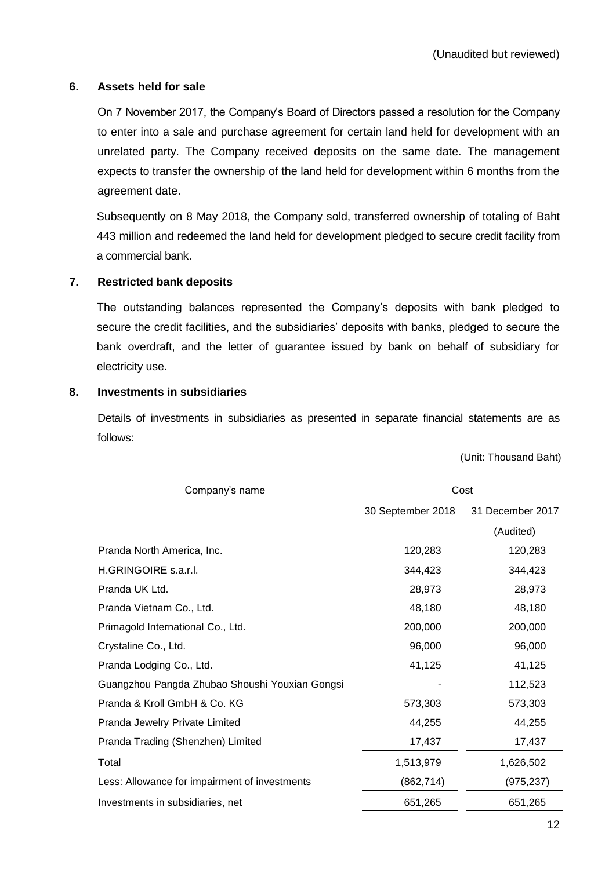## **6. Assets held for sale**

On 7 November 2017, the Company's Board of Directors passed a resolution for the Company to enter into a sale and purchase agreement for certain land held for development with an unrelated party. The Company received deposits on the same date. The management expects to transfer the ownership of the land held for development within 6 months from the agreement date.

Subsequently on 8 May 2018, the Company sold, transferred ownership of totaling of Baht 443 million and redeemed the land held for development pledged to secure credit facility from a commercial bank.

# **7. Restricted bank deposits**

The outstanding balances represented the Company's deposits with bank pledged to secure the credit facilities, and the subsidiaries' deposits with banks, pledged to secure the bank overdraft, and the letter of guarantee issued by bank on behalf of subsidiary for electricity use.

#### **8. Investments in subsidiaries**

Details of investments in subsidiaries as presented in separate financial statements are as follows:

| Company's name                                 | Cost              |                  |
|------------------------------------------------|-------------------|------------------|
|                                                | 30 September 2018 | 31 December 2017 |
|                                                |                   | (Audited)        |
| Pranda North America, Inc.                     | 120,283           | 120,283          |
| H.GRINGOIRE s.a.r.l.                           | 344,423           | 344,423          |
| Pranda UK Ltd.                                 | 28,973            | 28,973           |
| Pranda Vietnam Co., Ltd.                       | 48,180            | 48,180           |
| Primagold International Co., Ltd.              | 200,000           | 200,000          |
| Crystaline Co., Ltd.                           | 96,000            | 96,000           |
| Pranda Lodging Co., Ltd.                       | 41,125            | 41,125           |
| Guangzhou Pangda Zhubao Shoushi Youxian Gongsi |                   | 112,523          |
| Pranda & Kroll GmbH & Co. KG                   | 573,303           | 573,303          |
| Pranda Jewelry Private Limited                 | 44,255            | 44,255           |
| Pranda Trading (Shenzhen) Limited              | 17,437            | 17,437           |
| Total                                          | 1,513,979         | 1,626,502        |
| Less: Allowance for impairment of investments  | (862, 714)        | (975, 237)       |
| Investments in subsidiaries, net               | 651,265           | 651,265          |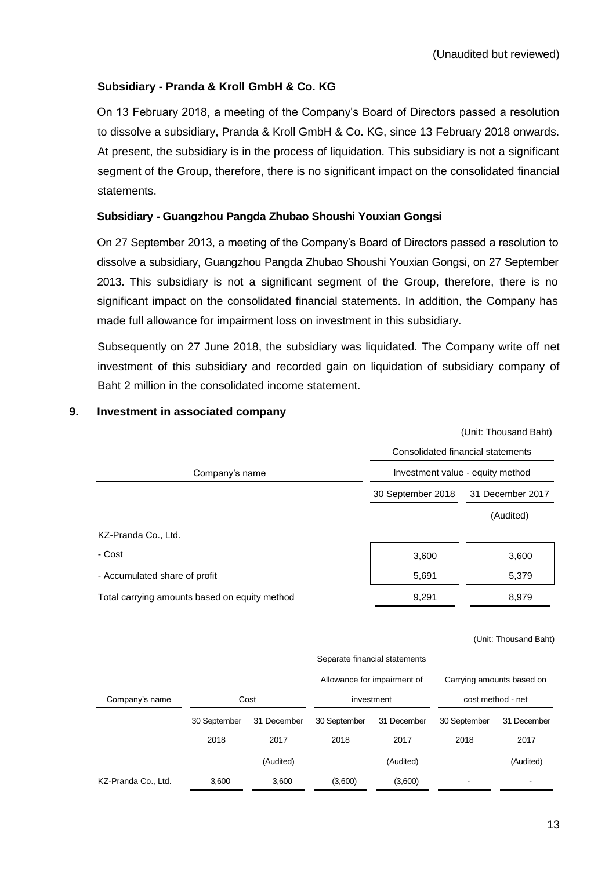# **Subsidiary - Pranda & Kroll GmbH & Co. KG**

On 13 February 2018, a meeting of the Company's Board of Directors passed a resolution to dissolve a subsidiary, Pranda & Kroll GmbH & Co. KG, since 13 February 2018 onwards. At present, the subsidiary is in the process of liquidation. This subsidiary is not a significant segment of the Group, therefore, there is no significant impact on the consolidated financial statements.

# **Subsidiary - Guangzhou Pangda Zhubao Shoushi Youxian Gongsi**

On 27 September 2013, a meeting of the Company's Board of Directors passed a resolution to dissolve a subsidiary, Guangzhou Pangda Zhubao Shoushi Youxian Gongsi, on 27 September 2013. This subsidiary is not a significant segment of the Group, therefore, there is no significant impact on the consolidated financial statements. In addition, the Company has made full allowance for impairment loss on investment in this subsidiary.

Subsequently on 27 June 2018, the subsidiary was liquidated. The Company write off net investment of this subsidiary and recorded gain on liquidation of subsidiary company of Baht 2 million in the consolidated income statement.

|                                               | (Unit: Thousand Baht)             |                  |  |  |
|-----------------------------------------------|-----------------------------------|------------------|--|--|
|                                               | Consolidated financial statements |                  |  |  |
| Company's name                                | Investment value - equity method  |                  |  |  |
|                                               | 30 September 2018                 | 31 December 2017 |  |  |
|                                               |                                   | (Audited)        |  |  |
| KZ-Pranda Co., Ltd.                           |                                   |                  |  |  |
| - Cost                                        | 3,600                             | 3,600            |  |  |
| - Accumulated share of profit                 | 5,691                             | 5,379            |  |  |
| Total carrying amounts based on equity method | 9.291                             | 8.979            |  |  |

#### **9. Investment in associated company**

|                     | Separate financial statements |                    |              |                             |                           |                   |
|---------------------|-------------------------------|--------------------|--------------|-----------------------------|---------------------------|-------------------|
|                     |                               |                    |              | Allowance for impairment of | Carrying amounts based on |                   |
| Company's name      |                               | Cost<br>investment |              |                             |                           | cost method - net |
|                     | 30 September                  | 31 December        | 30 September | 31 December                 | 30 September              | 31 December       |
|                     | 2018                          | 2017               | 2018         | 2017                        | 2018                      | 2017              |
|                     |                               | (Audited)          |              | (Audited)                   |                           | (Audited)         |
| KZ-Pranda Co., Ltd. | 3.600                         | 3,600              | (3,600)      | (3,600)                     |                           |                   |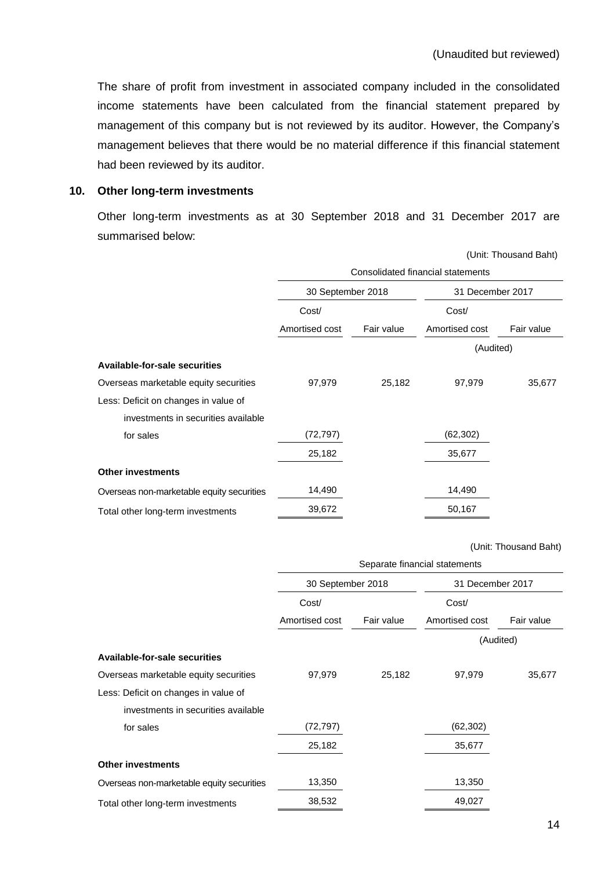The share of profit from investment in associated company included in the consolidated income statements have been calculated from the financial statement prepared by management of this company but is not reviewed by its auditor. However, the Company's management believes that there would be no material difference if this financial statement had been reviewed by its auditor.

#### **10. Other long-term investments**

Other long-term investments as at 30 September 2018 and 31 December 2017 are summarised below:

|                                           | (Unit: Thousand Baht)             |            |                  |            |  |
|-------------------------------------------|-----------------------------------|------------|------------------|------------|--|
|                                           | Consolidated financial statements |            |                  |            |  |
|                                           | 30 September 2018                 |            | 31 December 2017 |            |  |
|                                           | Cost/                             |            | Cost/            |            |  |
|                                           | Amortised cost                    | Fair value | Amortised cost   | Fair value |  |
|                                           |                                   |            | (Audited)        |            |  |
| Available-for-sale securities             |                                   |            |                  |            |  |
| Overseas marketable equity securities     | 97,979                            | 25,182     | 97,979           | 35,677     |  |
| Less: Deficit on changes in value of      |                                   |            |                  |            |  |
| investments in securities available       |                                   |            |                  |            |  |
| for sales                                 | (72, 797)                         |            | (62, 302)        |            |  |
|                                           | 25,182                            |            | 35,677           |            |  |
| <b>Other investments</b>                  |                                   |            |                  |            |  |
| Overseas non-marketable equity securities | 14,490                            |            | 14,490           |            |  |
| Total other long-term investments         | 39,672                            |            | 50,167           |            |  |

|                                           | Separate financial statements |            |                  |            |  |
|-------------------------------------------|-------------------------------|------------|------------------|------------|--|
|                                           | 30 September 2018             |            | 31 December 2017 |            |  |
|                                           | Cost/                         |            |                  |            |  |
|                                           | Amortised cost                | Fair value | Amortised cost   | Fair value |  |
|                                           |                               |            | (Audited)        |            |  |
| Available-for-sale securities             |                               |            |                  |            |  |
| Overseas marketable equity securities     | 97,979                        | 25,182     | 97,979           | 35,677     |  |
| Less: Deficit on changes in value of      |                               |            |                  |            |  |
| investments in securities available       |                               |            |                  |            |  |
| for sales                                 | (72, 797)                     |            | (62, 302)        |            |  |
|                                           | 25,182                        |            | 35,677           |            |  |
| <b>Other investments</b>                  |                               |            |                  |            |  |
| Overseas non-marketable equity securities | 13,350                        |            | 13,350           |            |  |
| Total other long-term investments         | 38,532                        |            | 49,027           |            |  |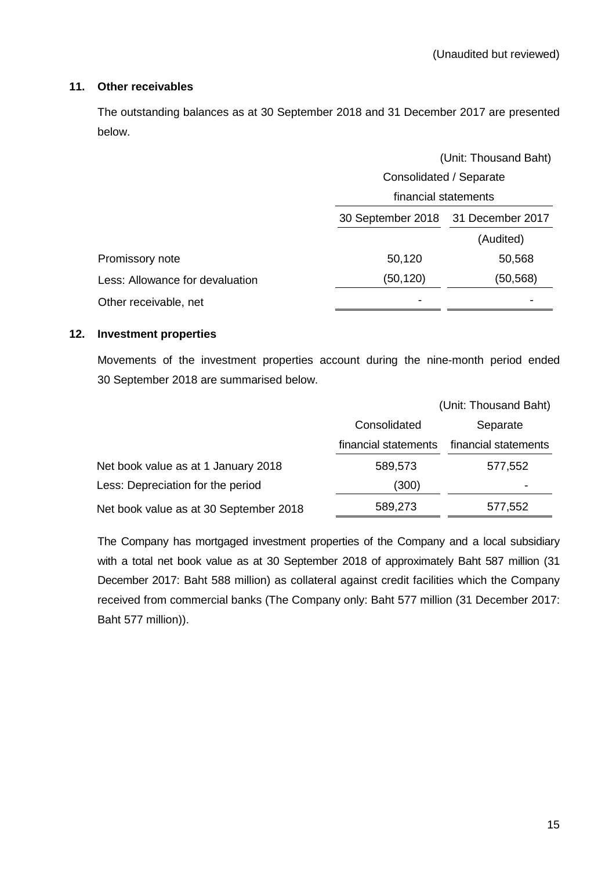# **11. Other receivables**

The outstanding balances as at 30 September 2018 and 31 December 2017 are presented below.

|                                 | (Unit: Thousand Baht)              |           |  |  |
|---------------------------------|------------------------------------|-----------|--|--|
|                                 | Consolidated / Separate            |           |  |  |
|                                 | financial statements               |           |  |  |
|                                 | 30 September 2018 31 December 2017 |           |  |  |
|                                 |                                    | (Audited) |  |  |
| Promissory note                 | 50,120                             | 50,568    |  |  |
| Less: Allowance for devaluation | (50, 120)                          | (50,568)  |  |  |
| Other receivable, net           |                                    |           |  |  |

# **12. Investment properties**

Movements of the investment properties account during the nine-month period ended 30 September 2018 are summarised below.

|                                        |                      | (Unit: Thousand Baht) |
|----------------------------------------|----------------------|-----------------------|
|                                        | Consolidated         | Separate              |
|                                        | financial statements | financial statements  |
| Net book value as at 1 January 2018    | 589,573              | 577,552               |
| Less: Depreciation for the period      | (300)                |                       |
| Net book value as at 30 September 2018 | 589,273              | 577,552               |

The Company has mortgaged investment properties of the Company and a local subsidiary with a total net book value as at 30 September 2018 of approximately Baht 587 million (31 December 2017: Baht 588 million) as collateral against credit facilities which the Company received from commercial banks (The Company only: Baht 577 million (31 December 2017: Baht 577 million)).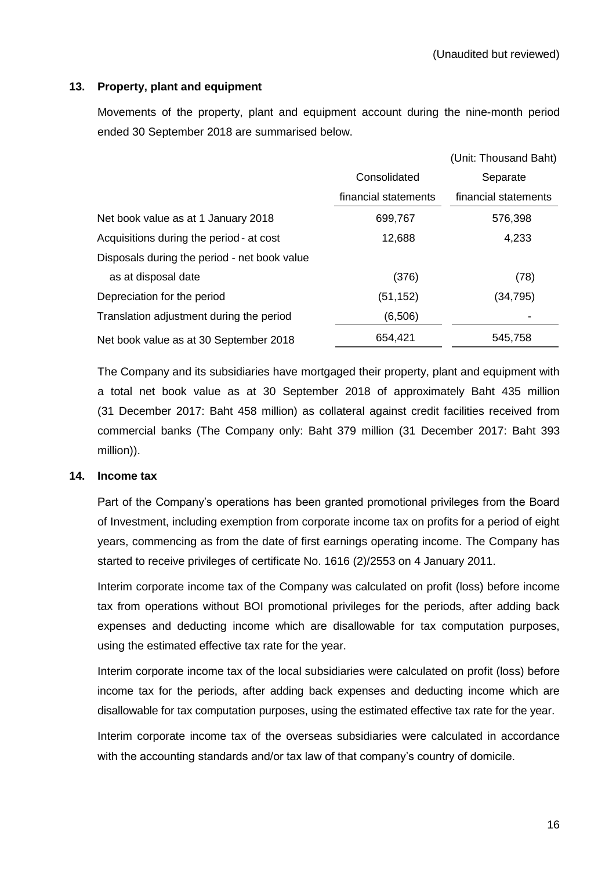# **13. Property, plant and equipment**

Movements of the property, plant and equipment account during the nine-month period ended 30 September 2018 are summarised below.

|                                              |                      | (Unit: Thousand Baht) |
|----------------------------------------------|----------------------|-----------------------|
|                                              | Consolidated         | Separate              |
|                                              | financial statements | financial statements  |
| Net book value as at 1 January 2018          | 699,767              | 576,398               |
| Acquisitions during the period - at cost     | 12,688               | 4,233                 |
| Disposals during the period - net book value |                      |                       |
| as at disposal date                          | (376)                | (78)                  |
| Depreciation for the period                  | (51, 152)            | (34,795)              |
| Translation adjustment during the period     | (6,506)              |                       |
| Net book value as at 30 September 2018       | 654,421              | 545,758               |

The Company and its subsidiaries have mortgaged their property, plant and equipment with a total net book value as at 30 September 2018 of approximately Baht 435 million (31 December 2017: Baht 458 million) as collateral against credit facilities received from commercial banks (The Company only: Baht 379 million (31 December 2017: Baht 393 million)).

#### **14. Income tax**

Part of the Company's operations has been granted promotional privileges from the Board of Investment, including exemption from corporate income tax on profits for a period of eight years, commencing as from the date of first earnings operating income. The Company has started to receive privileges of certificate No. 1616 (2)/2553 on 4 January 2011.

Interim corporate income tax of the Company was calculated on profit (loss) before income tax from operations without BOI promotional privileges for the periods, after adding back expenses and deducting income which are disallowable for tax computation purposes, using the estimated effective tax rate for the year.

Interim corporate income tax of the local subsidiaries were calculated on profit (loss) before income tax for the periods, after adding back expenses and deducting income which are disallowable for tax computation purposes, using the estimated effective tax rate for the year.

Interim corporate income tax of the overseas subsidiaries were calculated in accordance with the accounting standards and/or tax law of that company's country of domicile.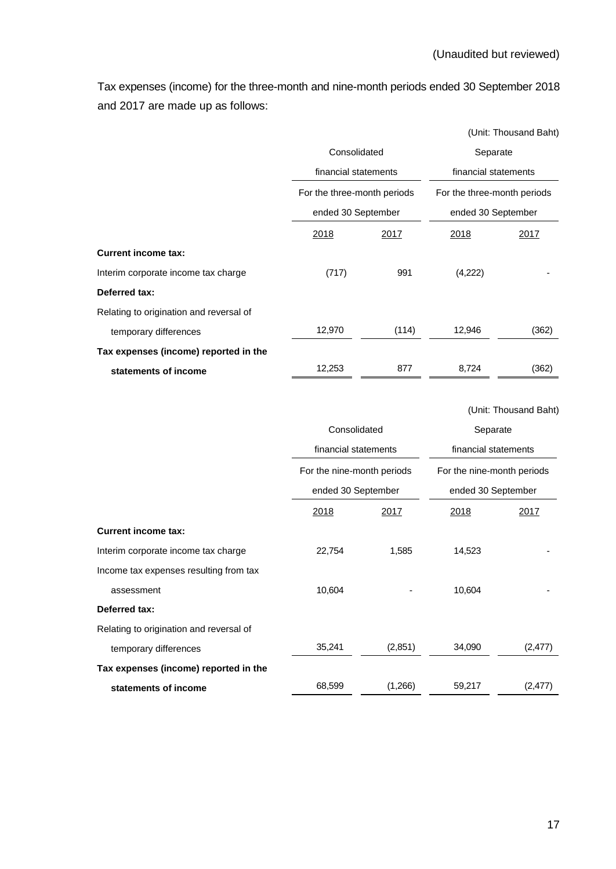Tax expenses (income) for the three-month and nine-month periods ended 30 September 2018 and 2017 are made up as follows:

|                                         |              |                                                                           |             | (Unit: Thousand Baht)       |
|-----------------------------------------|--------------|---------------------------------------------------------------------------|-------------|-----------------------------|
|                                         | Consolidated |                                                                           | Separate    |                             |
|                                         |              | financial statements<br>For the three-month periods<br>ended 30 September |             | financial statements        |
|                                         |              |                                                                           |             | For the three-month periods |
|                                         |              |                                                                           |             | ended 30 September          |
|                                         | 2018         | <u> 2017 </u>                                                             | <u>2018</u> | 2017                        |
| <b>Current income tax:</b>              |              |                                                                           |             |                             |
| Interim corporate income tax charge     | (717)        | 991                                                                       | (4,222)     |                             |
| Deferred tax:                           |              |                                                                           |             |                             |
| Relating to origination and reversal of |              |                                                                           |             |                             |
| temporary differences                   | 12,970       | (114)                                                                     | 12,946      | (362)                       |
| Tax expenses (income) reported in the   |              |                                                                           |             |                             |
| statements of income                    | 12,253       | 877                                                                       | 8,724       | (362)                       |

|                                         |                                      |         |                                  | (Unit: Thousand Baht) |
|-----------------------------------------|--------------------------------------|---------|----------------------------------|-----------------------|
|                                         | Consolidated<br>financial statements |         | Separate<br>financial statements |                       |
|                                         |                                      |         |                                  |                       |
|                                         | For the nine-month periods           |         | For the nine-month periods       |                       |
|                                         | ended 30 September                   |         | ended 30 September               |                       |
|                                         | 2018                                 | 2017    | 2018                             | 2017                  |
| <b>Current income tax:</b>              |                                      |         |                                  |                       |
| Interim corporate income tax charge     | 22,754                               | 1,585   | 14,523                           |                       |
| Income tax expenses resulting from tax  |                                      |         |                                  |                       |
| assessment                              | 10,604                               |         | 10,604                           |                       |
| Deferred tax:                           |                                      |         |                                  |                       |
| Relating to origination and reversal of |                                      |         |                                  |                       |
| temporary differences                   | 35,241                               | (2,851) | 34,090                           | (2, 477)              |
| Tax expenses (income) reported in the   |                                      |         |                                  |                       |
| statements of income                    | 68,599                               | (1,266) | 59,217                           | (2, 477)              |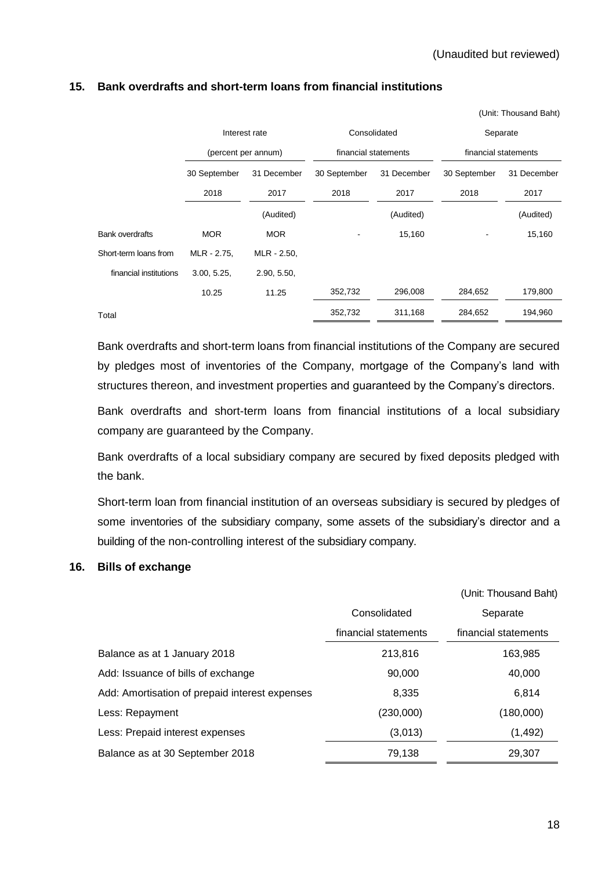(Unit: Thousand Baht)

|                        |                     | Interest rate |              | Consolidated         | Separate             |             |
|------------------------|---------------------|---------------|--------------|----------------------|----------------------|-------------|
|                        | (percent per annum) |               |              | financial statements | financial statements |             |
|                        | 30 September        | 31 December   | 30 September | 31 December          | 30 September         | 31 December |
|                        | 2018                | 2017          | 2018         | 2017                 | 2018                 | 2017        |
|                        |                     | (Audited)     |              | (Audited)            |                      | (Audited)   |
| <b>Bank overdrafts</b> | <b>MOR</b>          | <b>MOR</b>    |              | 15,160               |                      | 15,160      |
| Short-term loans from  | MLR - 2.75,         | MLR - 2.50,   |              |                      |                      |             |
| financial institutions | 3.00, 5.25,         | 2.90, 5.50,   |              |                      |                      |             |
|                        | 10.25               | 11.25         | 352,732      | 296,008              | 284,652              | 179,800     |
| Total                  |                     |               | 352,732      | 311,168              | 284.652              | 194.960     |

#### **15. Bank overdrafts and short-term loans from financial institutions**

Bank overdrafts and short-term loans from financial institutions of the Company are secured by pledges most of inventories of the Company, mortgage of the Company's land with structures thereon, and investment properties and guaranteed by the Company's directors.

Bank overdrafts and short-term loans from financial institutions of a local subsidiary company are guaranteed by the Company.

Bank overdrafts of a local subsidiary company are secured by fixed deposits pledged with the bank.

Short-term loan from financial institution of an overseas subsidiary is secured by pledges of some inventories of the subsidiary company, some assets of the subsidiary's director and a building of the non-controlling interest of the subsidiary company.

#### **16. Bills of exchange**

|                                                |                      | (Unit: Thousand Baht) |
|------------------------------------------------|----------------------|-----------------------|
|                                                | Consolidated         | Separate              |
|                                                | financial statements | financial statements  |
| Balance as at 1 January 2018                   | 213,816              | 163,985               |
| Add: Issuance of bills of exchange             | 90,000               | 40,000                |
| Add: Amortisation of prepaid interest expenses | 8,335                | 6,814                 |
| Less: Repayment                                | (230,000)            | (180,000)             |
| Less: Prepaid interest expenses                | (3,013)              | (1, 492)              |
| Balance as at 30 September 2018                | 79,138               | 29,307                |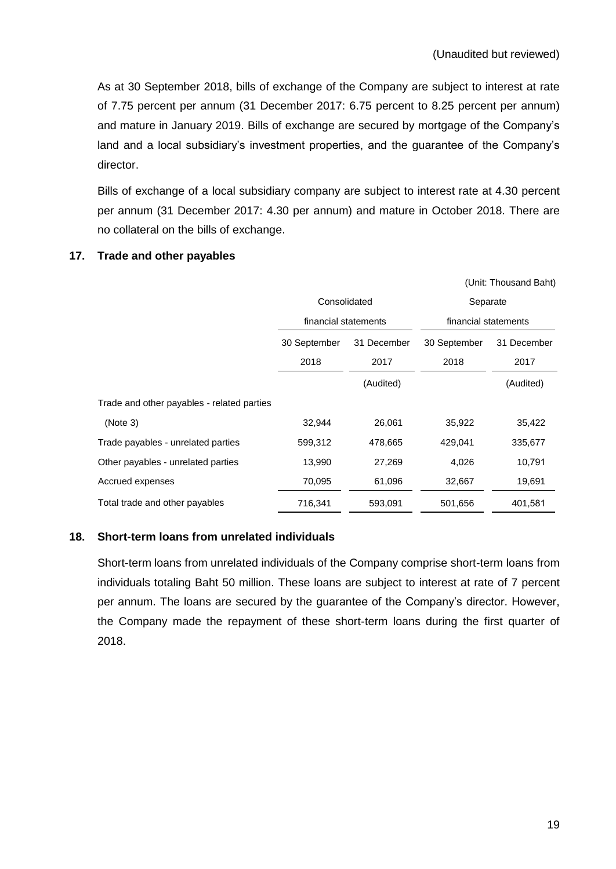As at 30 September 2018, bills of exchange of the Company are subject to interest at rate of 7.75 percent per annum (31 December 2017: 6.75 percent to 8.25 percent per annum) and mature in January 2019. Bills of exchange are secured by mortgage of the Company's land and a local subsidiary's investment properties, and the guarantee of the Company's director.

Bills of exchange of a local subsidiary company are subject to interest rate at 4.30 percent per annum (31 December 2017: 4.30 per annum) and mature in October 2018. There are no collateral on the bills of exchange.

|                                            |                      |             |                      | (Unit: Thousand Baht) |
|--------------------------------------------|----------------------|-------------|----------------------|-----------------------|
|                                            | Consolidated         |             | Separate             |                       |
|                                            | financial statements |             | financial statements |                       |
|                                            | 30 September         | 31 December |                      | 31 December           |
|                                            | 2018                 | 2017        | 2018                 | 2017                  |
|                                            |                      | (Audited)   |                      | (Audited)             |
| Trade and other payables - related parties |                      |             |                      |                       |
| (Note 3)                                   | 32,944               | 26,061      | 35,922               | 35,422                |
| Trade payables - unrelated parties         | 599,312              | 478,665     | 429,041              | 335,677               |
| Other payables - unrelated parties         | 13,990               | 27,269      | 4,026                | 10,791                |
| Accrued expenses                           | 70,095               | 61,096      | 32,667               | 19,691                |
| Total trade and other payables             | 716,341              | 593,091     | 501,656              | 401,581               |

# **17. Trade and other payables**

## **18. Short-term loans from unrelated individuals**

Short-term loans from unrelated individuals of the Company comprise short-term loans from individuals totaling Baht 50 million. These loans are subject to interest at rate of 7 percent per annum. The loans are secured by the guarantee of the Company's director. However, the Company made the repayment of these short-term loans during the first quarter of 2018.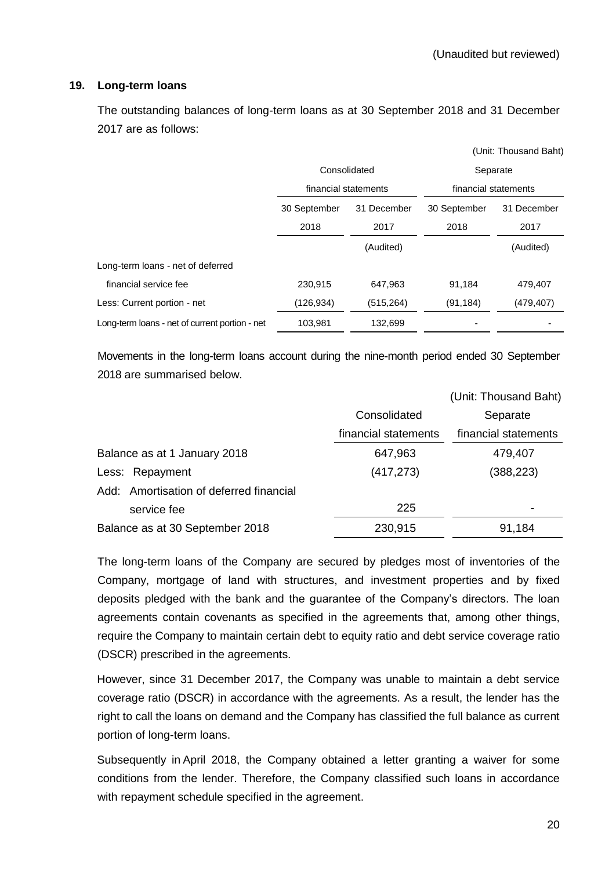#### **19. Long-term loans**

The outstanding balances of long-term loans as at 30 September 2018 and 31 December 2017 are as follows:

|                                                |                             |              |                      | (Unit: Thousand Baht) |
|------------------------------------------------|-----------------------------|--------------|----------------------|-----------------------|
|                                                |                             | Consolidated | Separate             |                       |
|                                                | financial statements        |              | financial statements |                       |
|                                                | 30 September<br>31 December |              | 30 September         | 31 December           |
|                                                | 2018                        | 2017         | 2018                 | 2017                  |
|                                                |                             | (Audited)    |                      | (Audited)             |
| Long-term loans - net of deferred              |                             |              |                      |                       |
| financial service fee                          | 230,915                     | 647,963      | 91,184               | 479,407               |
| Less: Current portion - net                    | (126, 934)                  | (515, 264)   | (91, 184)            | (479, 407)            |
| Long-term loans - net of current portion - net | 103,981                     | 132,699      |                      |                       |

Movements in the long-term loans account during the nine-month period ended 30 September 2018 are summarised below.

|                                         |                      | (Unit: Thousand Baht) |
|-----------------------------------------|----------------------|-----------------------|
|                                         | Consolidated         | Separate              |
|                                         | financial statements | financial statements  |
| Balance as at 1 January 2018            | 647,963              | 479,407               |
| Less: Repayment                         | (417, 273)           | (388, 223)            |
| Add: Amortisation of deferred financial |                      |                       |
| service fee                             | 225                  |                       |
| Balance as at 30 September 2018         | 230,915              | 91,184                |

The long-term loans of the Company are secured by pledges most of inventories of the Company, mortgage of land with structures, and investment properties and by fixed deposits pledged with the bank and the guarantee of the Company's directors. The loan agreements contain covenants as specified in the agreements that, among other things, require the Company to maintain certain debt to equity ratio and debt service coverage ratio (DSCR) prescribed in the agreements.

However, since 31 December 2017, the Company was unable to maintain a debt service coverage ratio (DSCR) in accordance with the agreements. As a result, the lender has the right to call the loans on demand and the Company has classified the full balance as current portion of long-term loans.

Subsequently in April 2018, the Company obtained a letter granting a waiver for some conditions from the lender. Therefore, the Company classified such loans in accordance with repayment schedule specified in the agreement.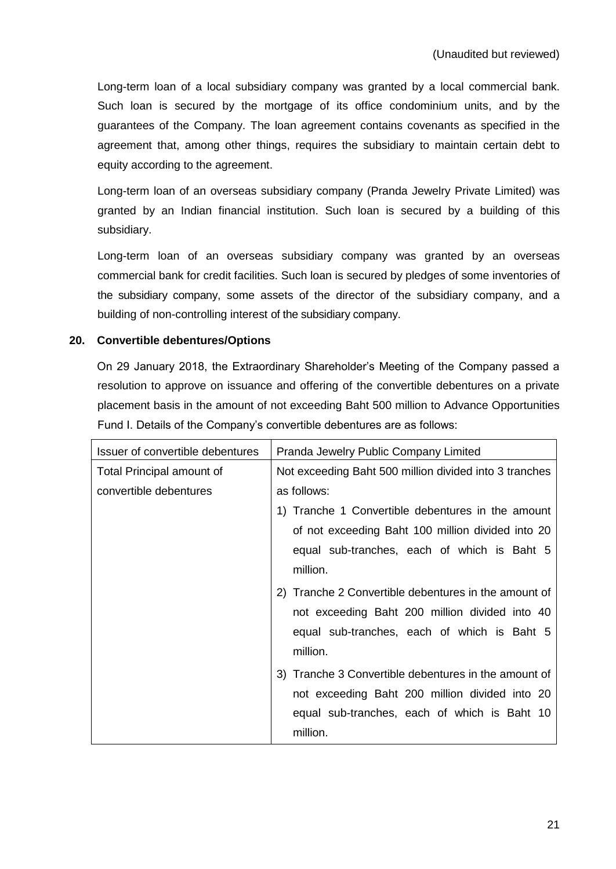Long-term loan of a local subsidiary company was granted by a local commercial bank. Such loan is secured by the mortgage of its office condominium units, and by the guarantees of the Company. The loan agreement contains covenants as specified in the agreement that, among other things, requires the subsidiary to maintain certain debt to equity according to the agreement.

Long-term loan of an overseas subsidiary company (Pranda Jewelry Private Limited) was granted by an Indian financial institution. Such loan is secured by a building of this subsidiary.

Long-term loan of an overseas subsidiary company was granted by an overseas commercial bank for credit facilities. Such loan is secured by pledges of some inventories of the subsidiary company, some assets of the director of the subsidiary company, and a building of non-controlling interest of the subsidiary company.

# **20. Convertible debentures/Options**

On 29 January 2018, the Extraordinary Shareholder's Meeting of the Company passed a resolution to approve on issuance and offering of the convertible debentures on a private placement basis in the amount of not exceeding Baht 500 million to Advance Opportunities Fund I. Details of the Company's convertible debentures are as follows:

| Issuer of convertible debentures | Pranda Jewelry Public Company Limited                  |  |  |
|----------------------------------|--------------------------------------------------------|--|--|
| Total Principal amount of        | Not exceeding Baht 500 million divided into 3 tranches |  |  |
| convertible debentures           | as follows:                                            |  |  |
|                                  | 1) Tranche 1 Convertible debentures in the amount      |  |  |
|                                  | of not exceeding Baht 100 million divided into 20      |  |  |
|                                  | equal sub-tranches, each of which is Baht 5            |  |  |
|                                  | million.                                               |  |  |
|                                  | 2) Tranche 2 Convertible debentures in the amount of   |  |  |
|                                  | not exceeding Baht 200 million divided into 40         |  |  |
|                                  | equal sub-tranches, each of which is Baht 5            |  |  |
|                                  | million.                                               |  |  |
|                                  | 3) Tranche 3 Convertible debentures in the amount of   |  |  |
|                                  | not exceeding Baht 200 million divided into 20         |  |  |
|                                  | equal sub-tranches, each of which is Baht 10           |  |  |
|                                  | million.                                               |  |  |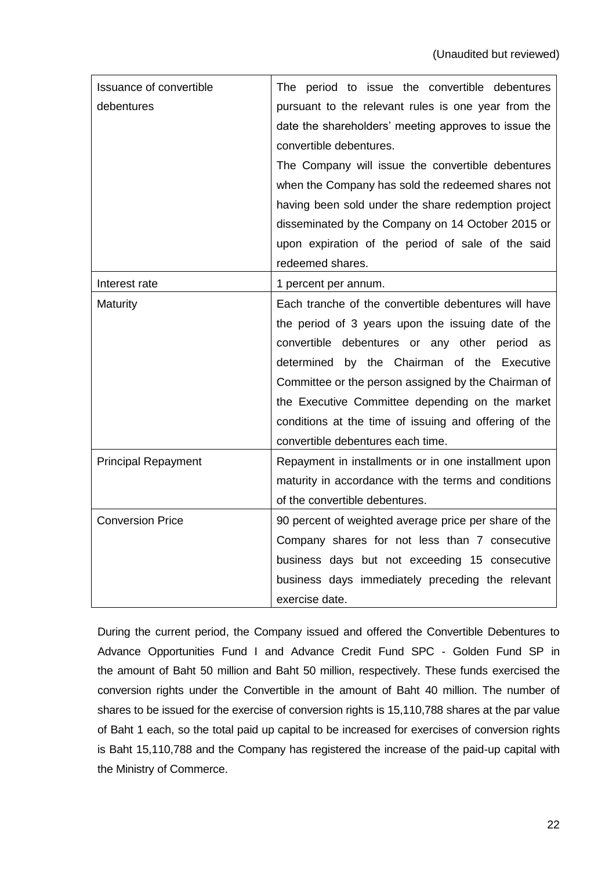| Issuance of convertible    | The period to issue the convertible debentures        |  |  |  |  |
|----------------------------|-------------------------------------------------------|--|--|--|--|
| debentures                 | pursuant to the relevant rules is one year from the   |  |  |  |  |
|                            | date the shareholders' meeting approves to issue the  |  |  |  |  |
|                            | convertible debentures.                               |  |  |  |  |
|                            | The Company will issue the convertible debentures     |  |  |  |  |
|                            | when the Company has sold the redeemed shares not     |  |  |  |  |
|                            | having been sold under the share redemption project   |  |  |  |  |
|                            | disseminated by the Company on 14 October 2015 or     |  |  |  |  |
|                            | upon expiration of the period of sale of the said     |  |  |  |  |
|                            | redeemed shares.                                      |  |  |  |  |
| Interest rate              | 1 percent per annum.                                  |  |  |  |  |
| Maturity                   | Each tranche of the convertible debentures will have  |  |  |  |  |
|                            | the period of 3 years upon the issuing date of the    |  |  |  |  |
|                            | convertible debentures or any other period as         |  |  |  |  |
|                            | determined<br>by the Chairman of the Executive        |  |  |  |  |
|                            | Committee or the person assigned by the Chairman of   |  |  |  |  |
|                            | the Executive Committee depending on the market       |  |  |  |  |
|                            | conditions at the time of issuing and offering of the |  |  |  |  |
|                            | convertible debentures each time.                     |  |  |  |  |
| <b>Principal Repayment</b> | Repayment in installments or in one installment upon  |  |  |  |  |
|                            | maturity in accordance with the terms and conditions  |  |  |  |  |
|                            | of the convertible debentures.                        |  |  |  |  |
| <b>Conversion Price</b>    | 90 percent of weighted average price per share of the |  |  |  |  |
|                            | Company shares for not less than 7 consecutive        |  |  |  |  |
|                            | business days but not exceeding 15 consecutive        |  |  |  |  |
|                            | business days immediately preceding the relevant      |  |  |  |  |
|                            | exercise date.                                        |  |  |  |  |

During the current period, the Company issued and offered the Convertible Debentures to Advance Opportunities Fund I and Advance Credit Fund SPC - Golden Fund SP in the amount of Baht 50 million and Baht 50 million, respectively. These funds exercised the conversion rights under the Convertible in the amount of Baht 40 million. The number of shares to be issued for the exercise of conversion rights is 15,110,788 shares at the par value of Baht 1 each, so the total paid up capital to be increased for exercises of conversion rights is Baht 15,110,788 and the Company has registered the increase of the paid-up capital with the Ministry of Commerce.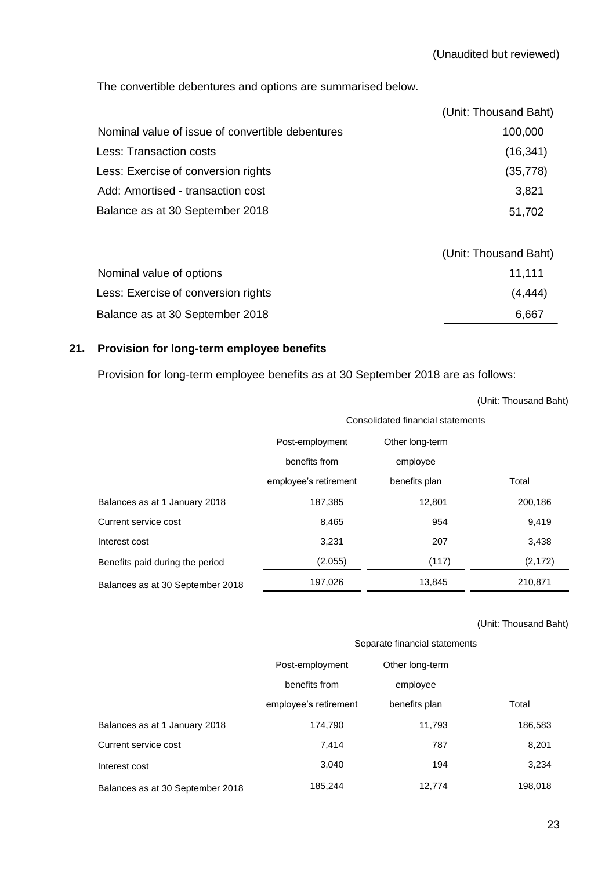The convertible debentures and options are summarised below.

|                                                  | (Unit: Thousand Baht) |
|--------------------------------------------------|-----------------------|
| Nominal value of issue of convertible debentures | 100,000               |
| Less: Transaction costs                          | (16, 341)             |
| Less: Exercise of conversion rights              | (35, 778)             |
| Add: Amortised - transaction cost                | 3,821                 |
| Balance as at 30 September 2018                  | 51,702                |
|                                                  |                       |

|                                     | (Unit: Thousand Baht) |
|-------------------------------------|-----------------------|
| Nominal value of options            | 11.111                |
| Less: Exercise of conversion rights | (4, 444)              |
| Balance as at 30 September 2018     | 6.667                 |

# **21. Provision for long-term employee benefits**

Provision for long-term employee benefits as at 30 September 2018 are as follows:

|                                  | Consolidated financial statements |                 |          |  |
|----------------------------------|-----------------------------------|-----------------|----------|--|
|                                  | Post-employment                   | Other long-term |          |  |
|                                  | benefits from                     | employee        |          |  |
|                                  | employee's retirement             | benefits plan   | Total    |  |
| Balances as at 1 January 2018    | 187,385                           | 12,801          | 200,186  |  |
| Current service cost             | 8,465                             | 954             | 9,419    |  |
| Interest cost                    | 3,231                             | 207             | 3,438    |  |
| Benefits paid during the period  | (2,055)                           | (117)           | (2, 172) |  |
| Balances as at 30 September 2018 | 197,026                           | 13,845          | 210,871  |  |

(Unit: Thousand Baht)

|                                  | Separate financial statements |                 |         |  |
|----------------------------------|-------------------------------|-----------------|---------|--|
|                                  | Post-employment               | Other long-term |         |  |
|                                  | benefits from                 | employee        |         |  |
|                                  | employee's retirement         | benefits plan   | Total   |  |
| Balances as at 1 January 2018    | 174,790                       | 11,793          | 186,583 |  |
| Current service cost             | 7,414                         | 787             | 8,201   |  |
| Interest cost                    | 3.040                         | 194             | 3,234   |  |
| Balances as at 30 September 2018 | 185,244                       | 12,774          | 198,018 |  |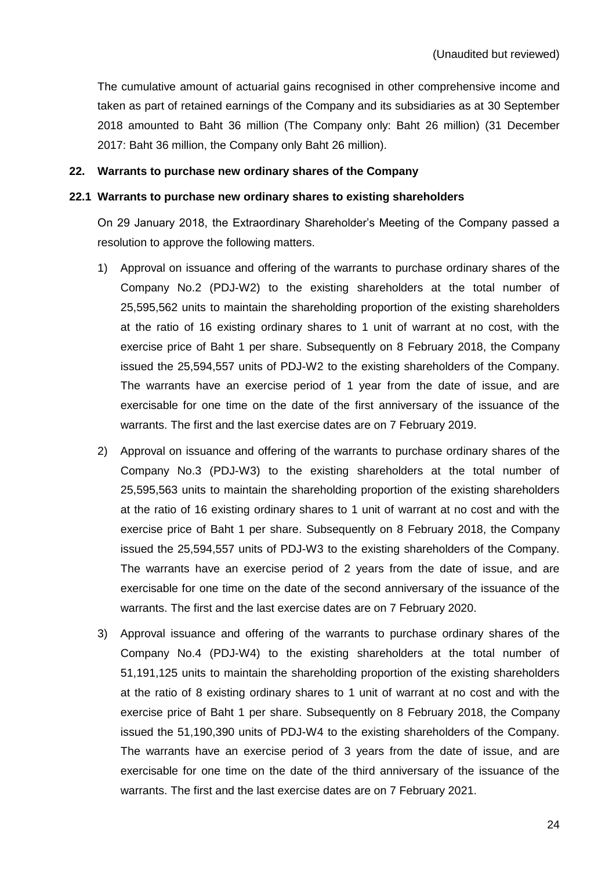The cumulative amount of actuarial gains recognised in other comprehensive income and taken as part of retained earnings of the Company and its subsidiaries as at 30 September 2018 amounted to Baht 36 million (The Company only: Baht 26 million) (31 December 2017: Baht 36 million, the Company only Baht 26 million).

#### **22. Warrants to purchase new ordinary shares of the Company**

#### **22.1 Warrants to purchase new ordinary shares to existing shareholders**

On 29 January 2018, the Extraordinary Shareholder's Meeting of the Company passed a resolution to approve the following matters.

- 1) Approval on issuance and offering of the warrants to purchase ordinary shares of the Company No.2 (PDJ-W2) to the existing shareholders at the total number of 25,595,562 units to maintain the shareholding proportion of the existing shareholders at the ratio of 16 existing ordinary shares to 1 unit of warrant at no cost, with the exercise price of Baht 1 per share. Subsequently on 8 February 2018, the Company issued the 25,594,557 units of PDJ-W2 to the existing shareholders of the Company. The warrants have an exercise period of 1 year from the date of issue, and are exercisable for one time on the date of the first anniversary of the issuance of the warrants. The first and the last exercise dates are on 7 February 2019.
- 2) Approval on issuance and offering of the warrants to purchase ordinary shares of the Company No.3 (PDJ-W3) to the existing shareholders at the total number of 25,595,563 units to maintain the shareholding proportion of the existing shareholders at the ratio of 16 existing ordinary shares to 1 unit of warrant at no cost and with the exercise price of Baht 1 per share. Subsequently on 8 February 2018, the Company issued the 25,594,557 units of PDJ-W3 to the existing shareholders of the Company. The warrants have an exercise period of 2 years from the date of issue, and are exercisable for one time on the date of the second anniversary of the issuance of the warrants. The first and the last exercise dates are on 7 February 2020.
- 3) Approval issuance and offering of the warrants to purchase ordinary shares of the Company No.4 (PDJ-W4) to the existing shareholders at the total number of 51,191,125 units to maintain the shareholding proportion of the existing shareholders at the ratio of 8 existing ordinary shares to 1 unit of warrant at no cost and with the exercise price of Baht 1 per share. Subsequently on 8 February 2018, the Company issued the 51,190,390 units of PDJ-W4 to the existing shareholders of the Company. The warrants have an exercise period of 3 years from the date of issue, and are exercisable for one time on the date of the third anniversary of the issuance of the warrants. The first and the last exercise dates are on 7 February 2021.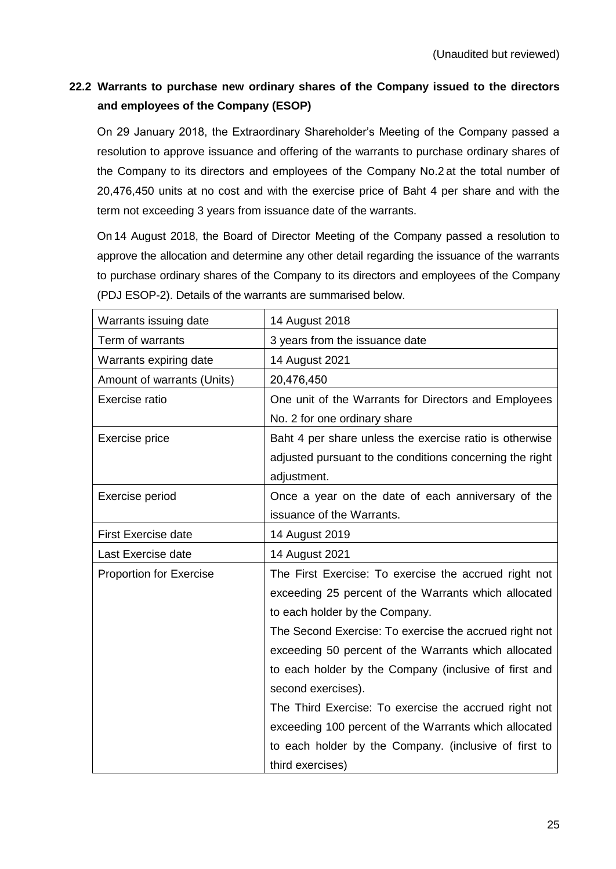# **22.2 Warrants to purchase new ordinary shares of the Company issued to the directors and employees of the Company (ESOP)**

On 29 January 2018, the Extraordinary Shareholder's Meeting of the Company passed a resolution to approve issuance and offering of the warrants to purchase ordinary shares of the Company to its directors and employees of the Company No.2 at the total number of 20,476,450 units at no cost and with the exercise price of Baht 4 per share and with the term not exceeding 3 years from issuance date of the warrants.

On 14 August 2018, the Board of Director Meeting of the Company passed a resolution to approve the allocation and determine any other detail regarding the issuance of the warrants to purchase ordinary shares of the Company to its directors and employees of the Company (PDJ ESOP-2). Details of the warrants are summarised below.

| Warrants issuing date          | 14 August 2018                                           |
|--------------------------------|----------------------------------------------------------|
| Term of warrants               | 3 years from the issuance date                           |
| Warrants expiring date         | 14 August 2021                                           |
| Amount of warrants (Units)     | 20,476,450                                               |
| Exercise ratio                 | One unit of the Warrants for Directors and Employees     |
|                                | No. 2 for one ordinary share                             |
| Exercise price                 | Baht 4 per share unless the exercise ratio is otherwise  |
|                                | adjusted pursuant to the conditions concerning the right |
|                                | adjustment.                                              |
| Exercise period                | Once a year on the date of each anniversary of the       |
|                                | issuance of the Warrants.                                |
| First Exercise date            | 14 August 2019                                           |
| Last Exercise date             | 14 August 2021                                           |
| <b>Proportion for Exercise</b> | The First Exercise: To exercise the accrued right not    |
|                                | exceeding 25 percent of the Warrants which allocated     |
|                                | to each holder by the Company.                           |
|                                | The Second Exercise: To exercise the accrued right not   |
|                                | exceeding 50 percent of the Warrants which allocated     |
|                                | to each holder by the Company (inclusive of first and    |
|                                | second exercises).                                       |
|                                | The Third Exercise: To exercise the accrued right not    |
|                                | exceeding 100 percent of the Warrants which allocated    |
|                                | to each holder by the Company. (inclusive of first to    |
|                                | third exercises)                                         |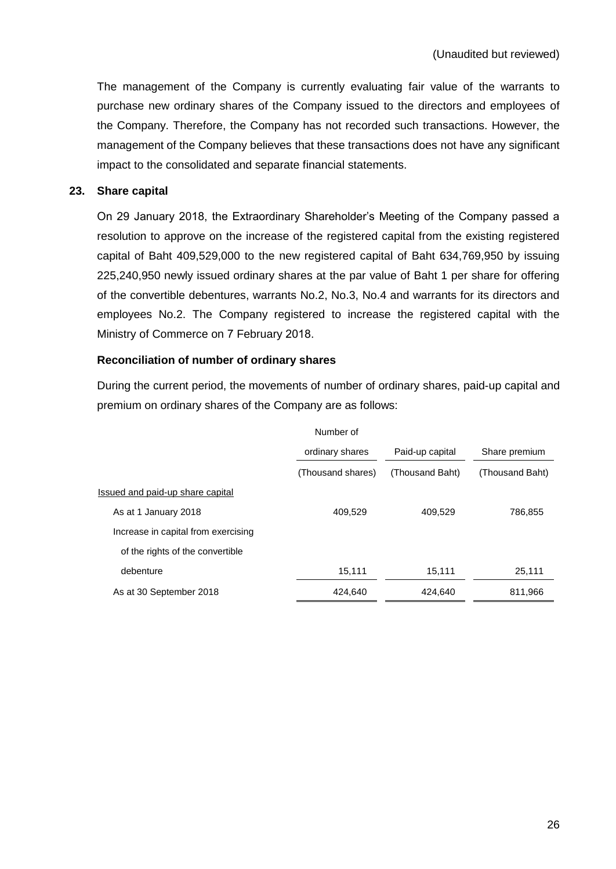The management of the Company is currently evaluating fair value of the warrants to purchase new ordinary shares of the Company issued to the directors and employees of the Company. Therefore, the Company has not recorded such transactions. However, the management of the Company believes that these transactions does not have any significant impact to the consolidated and separate financial statements.

#### **23. Share capital**

On 29 January 2018, the Extraordinary Shareholder's Meeting of the Company passed a resolution to approve on the increase of the registered capital from the existing registered capital of Baht 409,529,000 to the new registered capital of Baht 634,769,950 by issuing 225,240,950 newly issued ordinary shares at the par value of Baht 1 per share for offering of the convertible debentures, warrants No.2, No.3, No.4 and warrants for its directors and employees No.2. The Company registered to increase the registered capital with the Ministry of Commerce on 7 February 2018.

# **Reconciliation of number of ordinary shares**

During the current period, the movements of number of ordinary shares, paid-up capital and premium on ordinary shares of the Company are as follows:

| Number of |
|-----------|
|-----------|

|                                     | ordinary shares   | Paid-up capital | Share premium   |  |
|-------------------------------------|-------------------|-----------------|-----------------|--|
|                                     | (Thousand shares) | (Thousand Baht) | (Thousand Baht) |  |
| Issued and paid-up share capital    |                   |                 |                 |  |
| As at 1 January 2018                | 409.529           | 409,529         | 786,855         |  |
| Increase in capital from exercising |                   |                 |                 |  |
| of the rights of the convertible    |                   |                 |                 |  |
| debenture                           | 15.111            | 15,111          | 25,111          |  |
| As at 30 September 2018             | 424.640           | 424.640         | 811,966         |  |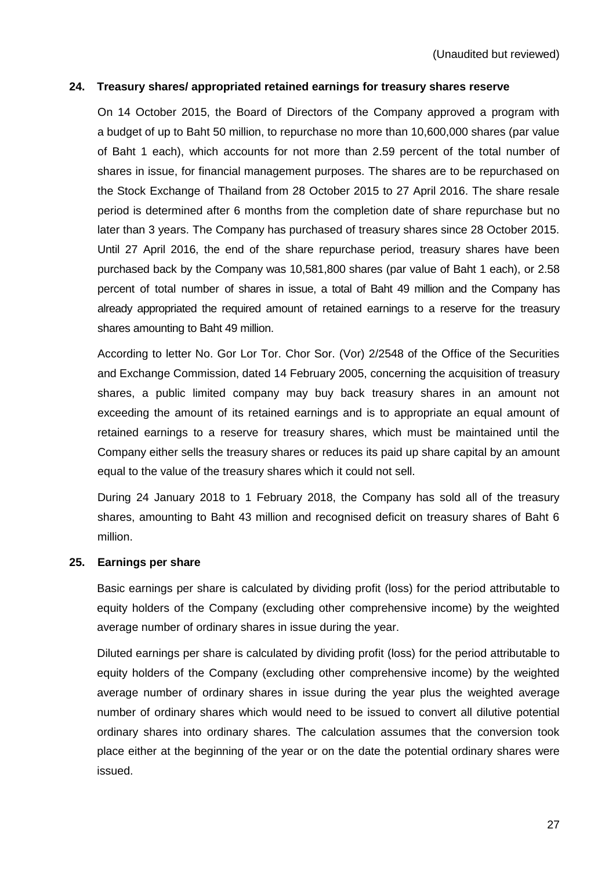#### **24. Treasury shares/ appropriated retained earnings for treasury shares reserve**

On 14 October 2015, the Board of Directors of the Company approved a program with a budget of up to Baht 50 million, to repurchase no more than 10,600,000 shares (par value of Baht 1 each), which accounts for not more than 2.59 percent of the total number of shares in issue, for financial management purposes. The shares are to be repurchased on the Stock Exchange of Thailand from 28 October 2015 to 27 April 2016. The share resale period is determined after 6 months from the completion date of share repurchase but no later than 3 years. The Company has purchased of treasury shares since 28 October 2015. Until 27 April 2016, the end of the share repurchase period, treasury shares have been purchased back by the Company was 10,581,800 shares (par value of Baht 1 each), or 2.58 percent of total number of shares in issue, a total of Baht 49 million and the Company has already appropriated the required amount of retained earnings to a reserve for the treasury shares amounting to Baht 49 million.

According to letter No. Gor Lor Tor. Chor Sor. (Vor) 2/2548 of the Office of the Securities and Exchange Commission, dated 14 February 2005, concerning the acquisition of treasury shares, a public limited company may buy back treasury shares in an amount not exceeding the amount of its retained earnings and is to appropriate an equal amount of retained earnings to a reserve for treasury shares, which must be maintained until the Company either sells the treasury shares or reduces its paid up share capital by an amount equal to the value of the treasury shares which it could not sell.

During 24 January 2018 to 1 February 2018, the Company has sold all of the treasury shares, amounting to Baht 43 million and recognised deficit on treasury shares of Baht 6 million.

#### **25. Earnings per share**

Basic earnings per share is calculated by dividing profit (loss) for the period attributable to equity holders of the Company (excluding other comprehensive income) by the weighted average number of ordinary shares in issue during the year.

Diluted earnings per share is calculated by dividing profit (loss) for the period attributable to equity holders of the Company (excluding other comprehensive income) by the weighted average number of ordinary shares in issue during the year plus the weighted average number of ordinary shares which would need to be issued to convert all dilutive potential ordinary shares into ordinary shares. The calculation assumes that the conversion took place either at the beginning of the year or on the date the potential ordinary shares were issued.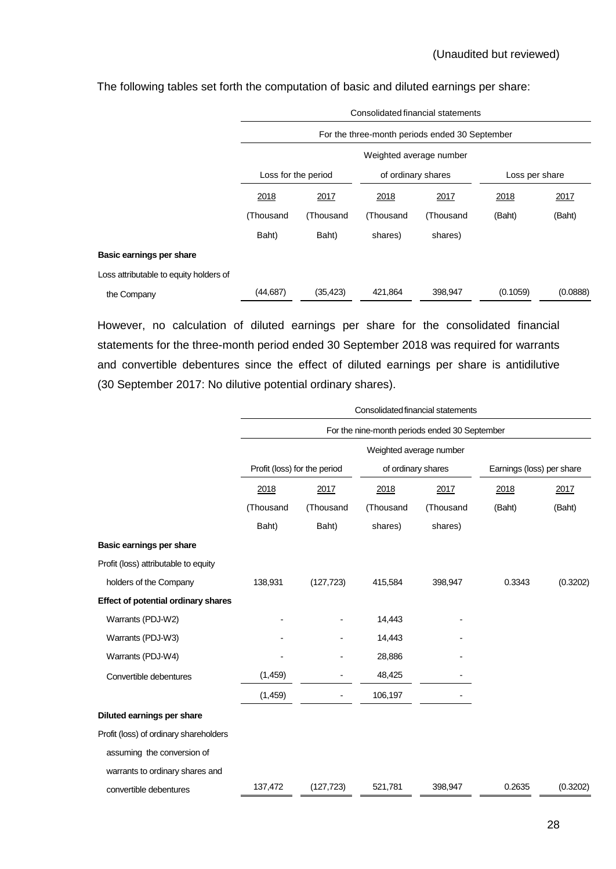|                                        | Consolidated financial statements                                         |           |                    |           |                |          |  |  |  |  |  |
|----------------------------------------|---------------------------------------------------------------------------|-----------|--------------------|-----------|----------------|----------|--|--|--|--|--|
|                                        | For the three-month periods ended 30 September<br>Weighted average number |           |                    |           |                |          |  |  |  |  |  |
|                                        |                                                                           |           |                    |           |                |          |  |  |  |  |  |
|                                        | Loss for the period                                                       |           | of ordinary shares |           | Loss per share |          |  |  |  |  |  |
|                                        | 2018                                                                      | 2017      | 2018               | 2017      | 2018           | 2017     |  |  |  |  |  |
|                                        | (Thousand                                                                 | (Thousand | (Thousand          | (Thousand | (Baht)         | (Baht)   |  |  |  |  |  |
|                                        | Baht)                                                                     | Baht)     | shares)            | shares)   |                |          |  |  |  |  |  |
| Basic earnings per share               |                                                                           |           |                    |           |                |          |  |  |  |  |  |
| Loss attributable to equity holders of |                                                                           |           |                    |           |                |          |  |  |  |  |  |
| the Company                            | (44, 687)                                                                 | (35, 423) | 421,864            | 398,947   | (0.1059)       | (0.0888) |  |  |  |  |  |

The following tables set forth the computation of basic and diluted earnings per share:

However, no calculation of diluted earnings per share for the consolidated financial statements for the three-month period ended 30 September 2018 was required for warrants and convertible debentures since the effect of diluted earnings per share is antidilutive (30 September 2017: No dilutive potential ordinary shares).

|                                            | Consolidated financial statements |            |                    |                                               |                           |          |  |  |  |  |  |  |
|--------------------------------------------|-----------------------------------|------------|--------------------|-----------------------------------------------|---------------------------|----------|--|--|--|--|--|--|
|                                            |                                   |            |                    | For the nine-month periods ended 30 September |                           |          |  |  |  |  |  |  |
|                                            | Weighted average number           |            |                    |                                               |                           |          |  |  |  |  |  |  |
|                                            | Profit (loss) for the period      |            | of ordinary shares |                                               | Earnings (loss) per share |          |  |  |  |  |  |  |
|                                            | 2018                              | 2017       | 2018               | 2017                                          | 2018                      | 2017     |  |  |  |  |  |  |
|                                            | (Thousand                         | (Thousand  | (Thousand          | (Thousand                                     | (Baht)                    | (Baht)   |  |  |  |  |  |  |
|                                            | Baht)                             | Baht)      | shares)            | shares)                                       |                           |          |  |  |  |  |  |  |
| Basic earnings per share                   |                                   |            |                    |                                               |                           |          |  |  |  |  |  |  |
| Profit (loss) attributable to equity       |                                   |            |                    |                                               |                           |          |  |  |  |  |  |  |
| holders of the Company                     | 138,931                           | (127, 723) | 415,584            | 398,947                                       | 0.3343                    | (0.3202) |  |  |  |  |  |  |
| <b>Effect of potential ordinary shares</b> |                                   |            |                    |                                               |                           |          |  |  |  |  |  |  |
| Warrants (PDJ-W2)                          |                                   |            | 14,443             |                                               |                           |          |  |  |  |  |  |  |
| Warrants (PDJ-W3)                          |                                   |            | 14,443             |                                               |                           |          |  |  |  |  |  |  |
| Warrants (PDJ-W4)                          |                                   |            | 28,886             |                                               |                           |          |  |  |  |  |  |  |
| Convertible debentures                     | (1,459)                           |            | 48,425             |                                               |                           |          |  |  |  |  |  |  |
|                                            | (1,459)                           |            | 106,197            |                                               |                           |          |  |  |  |  |  |  |
| Diluted earnings per share                 |                                   |            |                    |                                               |                           |          |  |  |  |  |  |  |
| Profit (loss) of ordinary shareholders     |                                   |            |                    |                                               |                           |          |  |  |  |  |  |  |
| assuming the conversion of                 |                                   |            |                    |                                               |                           |          |  |  |  |  |  |  |
| warrants to ordinary shares and            |                                   |            |                    |                                               |                           |          |  |  |  |  |  |  |
| convertible debentures                     | 137,472                           | (127, 723) | 521,781            | 398,947                                       | 0.2635                    | (0.3202) |  |  |  |  |  |  |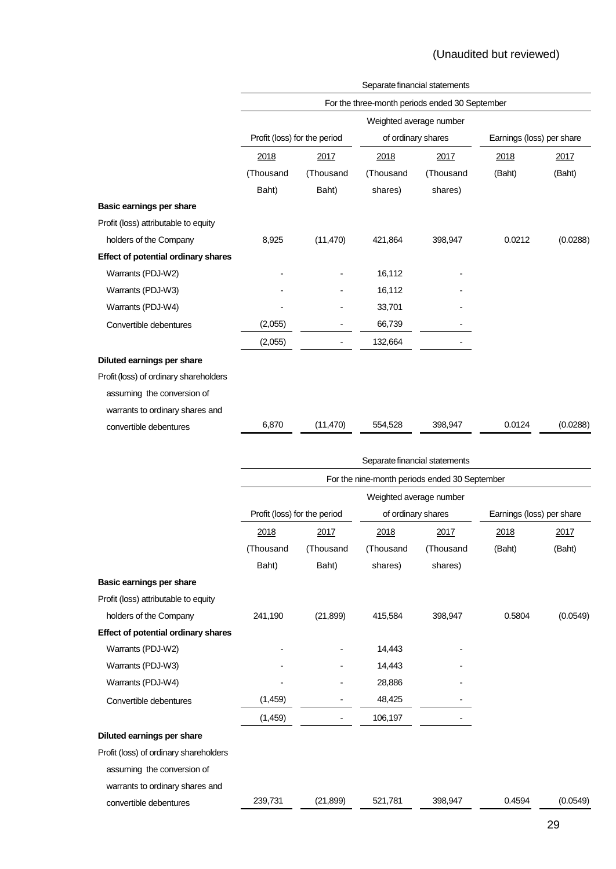| Profit (loss) for the period<br>2017<br>(Thousand<br>Baht)<br>(11, 470) | Weighted average number<br>of ordinary shares<br>2018<br>(Thousand<br>shares)<br>421,864<br>16,112 | For the three-month periods ended 30 September<br>2017<br>(Thousand<br>shares)<br>398,947 | Earnings (loss) per share<br>2018<br>(Baht)<br>0.0212 | 2017<br>(Baht)<br>(0.0288) |
|-------------------------------------------------------------------------|----------------------------------------------------------------------------------------------------|-------------------------------------------------------------------------------------------|-------------------------------------------------------|----------------------------|
|                                                                         |                                                                                                    |                                                                                           |                                                       |                            |
|                                                                         |                                                                                                    |                                                                                           |                                                       |                            |
|                                                                         |                                                                                                    |                                                                                           |                                                       |                            |
|                                                                         |                                                                                                    |                                                                                           |                                                       |                            |
|                                                                         |                                                                                                    |                                                                                           |                                                       |                            |
|                                                                         |                                                                                                    |                                                                                           |                                                       |                            |
|                                                                         |                                                                                                    |                                                                                           |                                                       |                            |
|                                                                         |                                                                                                    |                                                                                           |                                                       |                            |
|                                                                         |                                                                                                    |                                                                                           |                                                       |                            |
|                                                                         |                                                                                                    |                                                                                           |                                                       |                            |
|                                                                         |                                                                                                    |                                                                                           |                                                       |                            |
|                                                                         | 16,112                                                                                             |                                                                                           |                                                       |                            |
|                                                                         | 33,701                                                                                             |                                                                                           |                                                       |                            |
|                                                                         | 66,739                                                                                             |                                                                                           |                                                       |                            |
|                                                                         | 132,664                                                                                            |                                                                                           |                                                       |                            |
|                                                                         |                                                                                                    |                                                                                           |                                                       |                            |
|                                                                         |                                                                                                    |                                                                                           |                                                       |                            |
|                                                                         |                                                                                                    |                                                                                           |                                                       |                            |
|                                                                         |                                                                                                    |                                                                                           |                                                       |                            |
|                                                                         | 554,528                                                                                            | 398,947                                                                                   | 0.0124                                                | (0.0288)                   |
|                                                                         | (11, 470)                                                                                          |                                                                                           |                                                       |                            |

|                                            | Separate financial statements |                         |           |                                               |                           |          |  |  |  |  |  |  |
|--------------------------------------------|-------------------------------|-------------------------|-----------|-----------------------------------------------|---------------------------|----------|--|--|--|--|--|--|
|                                            |                               |                         |           | For the nine-month periods ended 30 September |                           |          |  |  |  |  |  |  |
|                                            |                               | Weighted average number |           |                                               |                           |          |  |  |  |  |  |  |
|                                            | Profit (loss) for the period  |                         |           | of ordinary shares                            | Earnings (loss) per share |          |  |  |  |  |  |  |
|                                            | 2018                          | 2017                    | 2018      | 2017                                          | 2018                      | 2017     |  |  |  |  |  |  |
|                                            | (Thousand                     | (Thousand               | (Thousand | (Thousand                                     | (Baht)                    | (Baht)   |  |  |  |  |  |  |
|                                            | Baht)                         | Baht)                   | shares)   | shares)                                       |                           |          |  |  |  |  |  |  |
| Basic earnings per share                   |                               |                         |           |                                               |                           |          |  |  |  |  |  |  |
| Profit (loss) attributable to equity       |                               |                         |           |                                               |                           |          |  |  |  |  |  |  |
| holders of the Company                     | 241,190                       | (21, 899)               | 415,584   | 398,947                                       | 0.5804                    | (0.0549) |  |  |  |  |  |  |
| <b>Effect of potential ordinary shares</b> |                               |                         |           |                                               |                           |          |  |  |  |  |  |  |
| Warrants (PDJ-W2)                          |                               |                         | 14,443    |                                               |                           |          |  |  |  |  |  |  |
| Warrants (PDJ-W3)                          |                               |                         | 14,443    |                                               |                           |          |  |  |  |  |  |  |
| Warrants (PDJ-W4)                          |                               |                         | 28,886    |                                               |                           |          |  |  |  |  |  |  |
| Convertible debentures                     | (1,459)                       |                         | 48,425    |                                               |                           |          |  |  |  |  |  |  |
|                                            | (1, 459)                      |                         | 106,197   |                                               |                           |          |  |  |  |  |  |  |
| Diluted earnings per share                 |                               |                         |           |                                               |                           |          |  |  |  |  |  |  |
| Profit (loss) of ordinary shareholders     |                               |                         |           |                                               |                           |          |  |  |  |  |  |  |
| assuming the conversion of                 |                               |                         |           |                                               |                           |          |  |  |  |  |  |  |
| warrants to ordinary shares and            |                               |                         |           |                                               |                           |          |  |  |  |  |  |  |
| convertible debentures                     | 239,731                       | (21, 899)               | 521,781   | 398,947                                       | 0.4594                    | (0.0549) |  |  |  |  |  |  |
|                                            |                               |                         |           |                                               |                           |          |  |  |  |  |  |  |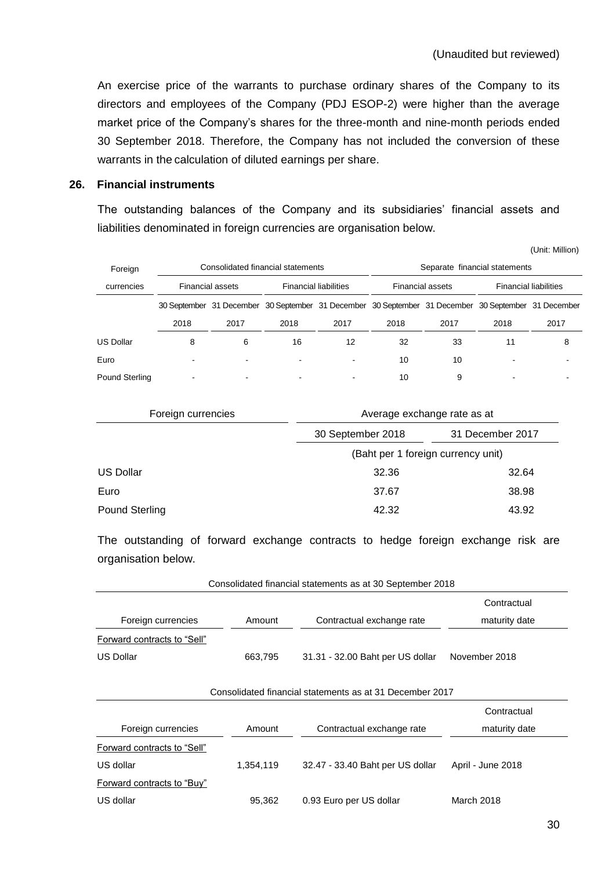(Unit: Million)

An exercise price of the warrants to purchase ordinary shares of the Company to its directors and employees of the Company (PDJ ESOP-2) were higher than the average market price of the Company's shares for the three-month and nine-month periods ended 30 September 2018. Therefore, the Company has not included the conversion of these warrants in the calculation of diluted earnings per share.

#### **26. Financial instruments**

The outstanding balances of the Company and its subsidiaries' financial assets and liabilities denominated in foreign currencies are organisation below.

| Foreign          |      | Consolidated financial statements                                                                   |                              |      | Separate financial statements |                         |                              |      |  |
|------------------|------|-----------------------------------------------------------------------------------------------------|------------------------------|------|-------------------------------|-------------------------|------------------------------|------|--|
| currencies       |      | <b>Financial assets</b>                                                                             | <b>Financial liabilities</b> |      |                               | <b>Financial assets</b> | <b>Financial liabilities</b> |      |  |
|                  |      | 30 September 31 December 30 September 31 December 30 September 31 December 30 September 31 December |                              |      |                               |                         |                              |      |  |
|                  | 2018 | 2017                                                                                                | 2018                         | 2017 | 2018                          | 2017                    | 2018                         | 2017 |  |
| <b>US Dollar</b> | 8    | 6                                                                                                   | 16                           | 12   | 32                            | 33                      | 11                           | 8    |  |
| Euro             |      |                                                                                                     | ٠                            |      | 10                            | 10                      |                              |      |  |
| Pound Sterling   |      |                                                                                                     | -                            |      | 10                            | 9                       |                              |      |  |

| Foreign currencies    | Average exchange rate as at        |                  |  |  |  |  |
|-----------------------|------------------------------------|------------------|--|--|--|--|
|                       | 30 September 2018                  | 31 December 2017 |  |  |  |  |
|                       | (Baht per 1 foreign currency unit) |                  |  |  |  |  |
| <b>US Dollar</b>      | 32.36                              | 32.64            |  |  |  |  |
| Euro                  | 37.67                              | 38.98            |  |  |  |  |
| <b>Pound Sterling</b> | 42.32                              | 43.92            |  |  |  |  |

The outstanding of forward exchange contracts to hedge foreign exchange risk are organisation below.

|                             |           | Consolidated financial statements as at 30 September 2018 |                   |
|-----------------------------|-----------|-----------------------------------------------------------|-------------------|
|                             |           |                                                           | Contractual       |
| Foreign currencies          | Amount    | Contractual exchange rate                                 | maturity date     |
| Forward contracts to "Sell" |           |                                                           |                   |
| <b>US Dollar</b>            | 663,795   | 31.31 - 32.00 Baht per US dollar                          | November 2018     |
|                             |           |                                                           |                   |
|                             |           | Consolidated financial statements as at 31 December 2017  |                   |
|                             |           |                                                           | Contractual       |
| Foreign currencies          | Amount    | Contractual exchange rate                                 | maturity date     |
| Forward contracts to "Sell" |           |                                                           |                   |
| US dollar                   | 1,354,119 | 32.47 - 33.40 Baht per US dollar                          | April - June 2018 |
| Forward contracts to "Buy"  |           |                                                           |                   |
| US dollar                   | 95,362    | 0.93 Euro per US dollar                                   | <b>March 2018</b> |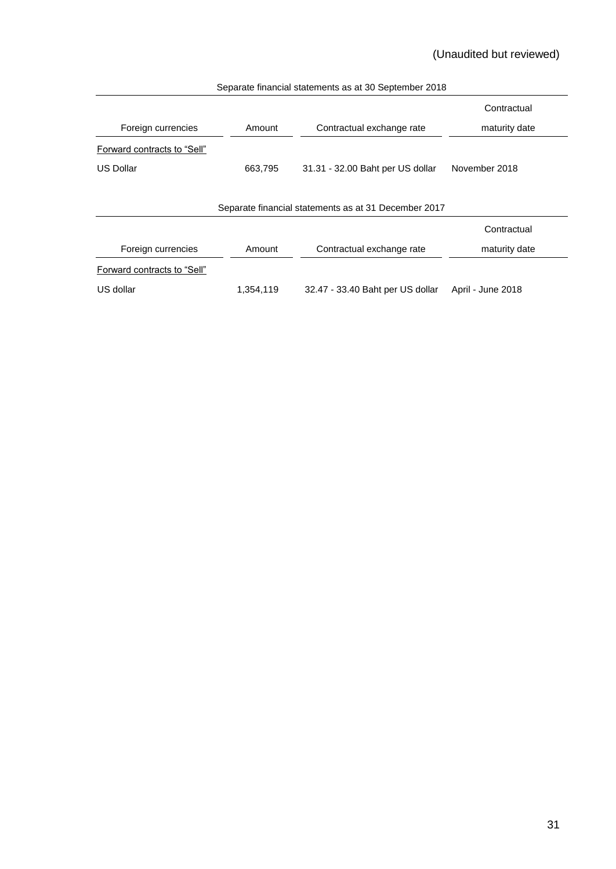# (Unaudited but reviewed)

|                                                      |           |                                  | Contractual       |  |  |  |  |  |  |  |
|------------------------------------------------------|-----------|----------------------------------|-------------------|--|--|--|--|--|--|--|
| Foreign currencies                                   | Amount    | Contractual exchange rate        | maturity date     |  |  |  |  |  |  |  |
| Forward contracts to "Sell"                          |           |                                  |                   |  |  |  |  |  |  |  |
| US Dollar                                            | 663,795   | 31.31 - 32.00 Baht per US dollar | November 2018     |  |  |  |  |  |  |  |
|                                                      |           |                                  |                   |  |  |  |  |  |  |  |
| Separate financial statements as at 31 December 2017 |           |                                  |                   |  |  |  |  |  |  |  |
|                                                      |           |                                  | Contractual       |  |  |  |  |  |  |  |
| Foreign currencies                                   | Amount    | Contractual exchange rate        | maturity date     |  |  |  |  |  |  |  |
| Forward contracts to "Sell"                          |           |                                  |                   |  |  |  |  |  |  |  |
| US dollar                                            | 1,354,119 | 32.47 - 33.40 Baht per US dollar | April - June 2018 |  |  |  |  |  |  |  |

#### Separate financial statements as at 30 September 2018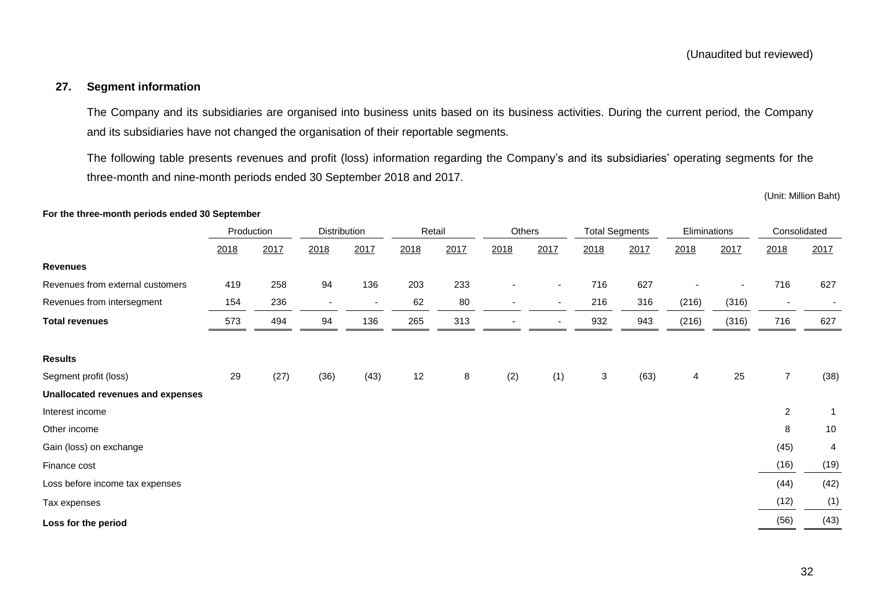# **27. Segment information**

The Company and its subsidiaries are organised into business units based on its business activities. During the current period, the Company and its subsidiaries have not changed the organisation of their reportable segments.

The following table presents revenues and profit (loss) information regarding the Company's and its subsidiaries' operating segments for the three-month and nine-month periods ended 30 September 2018 and 2017.

#### **For the three-month periods ended 30 September**

|                                   | Production |      | Distribution             |                          | Retail |      | Others                   |                          | <b>Total Segments</b> |      | Eliminations |       | Consolidated             |      |
|-----------------------------------|------------|------|--------------------------|--------------------------|--------|------|--------------------------|--------------------------|-----------------------|------|--------------|-------|--------------------------|------|
|                                   | 2018       | 2017 | 2018                     | 2017                     | 2018   | 2017 | 2018                     | 2017                     | 2018                  | 2017 | 2018         | 2017  | 2018                     | 2017 |
| <b>Revenues</b>                   |            |      |                          |                          |        |      |                          |                          |                       |      |              |       |                          |      |
| Revenues from external customers  | 419        | 258  | 94                       | 136                      | 203    | 233  | $\overline{\phantom{a}}$ | $\overline{\phantom{a}}$ | 716                   | 627  |              |       | 716                      | 627  |
| Revenues from intersegment        | 154        | 236  | $\overline{\phantom{a}}$ | $\overline{\phantom{0}}$ | 62     | 80   | $\overline{\phantom{a}}$ | $\overline{\phantom{a}}$ | 216                   | 316  | (216)        | (316) | $\overline{\phantom{a}}$ |      |
| <b>Total revenues</b>             | 573        | 494  | 94                       | 136                      | 265    | 313  |                          | $\overline{\phantom{a}}$ | 932                   | 943  | (216)        | (316) | 716                      | 627  |
| <b>Results</b>                    |            |      |                          |                          |        |      |                          |                          |                       |      |              |       |                          |      |
| Segment profit (loss)             | 29         | (27) | (36)                     | (43)                     | 12     | 8    | (2)                      | (1)                      | $\mathsf 3$           | (63) | 4            | 25    | $\overline{7}$           | (38) |
| Unallocated revenues and expenses |            |      |                          |                          |        |      |                          |                          |                       |      |              |       |                          |      |
| Interest income                   |            |      |                          |                          |        |      |                          |                          |                       |      |              |       | $\overline{c}$           |      |
| Other income                      |            |      |                          |                          |        |      |                          |                          |                       |      |              |       | 8                        | 10   |
| Gain (loss) on exchange           |            |      |                          |                          |        |      |                          |                          |                       |      |              |       | (45)                     | 4    |
| Finance cost                      |            |      |                          |                          |        |      |                          |                          |                       |      |              |       | (16)                     | (19) |
| Loss before income tax expenses   |            |      |                          |                          |        |      |                          |                          |                       |      |              |       | (44)                     | (42) |
| Tax expenses                      |            |      |                          |                          |        |      |                          |                          |                       |      |              |       | (12)                     | (1)  |
| Loss for the period               |            |      |                          |                          |        |      |                          |                          |                       |      |              |       | (56)                     | (43) |

<sup>(</sup>Unit: Million Baht)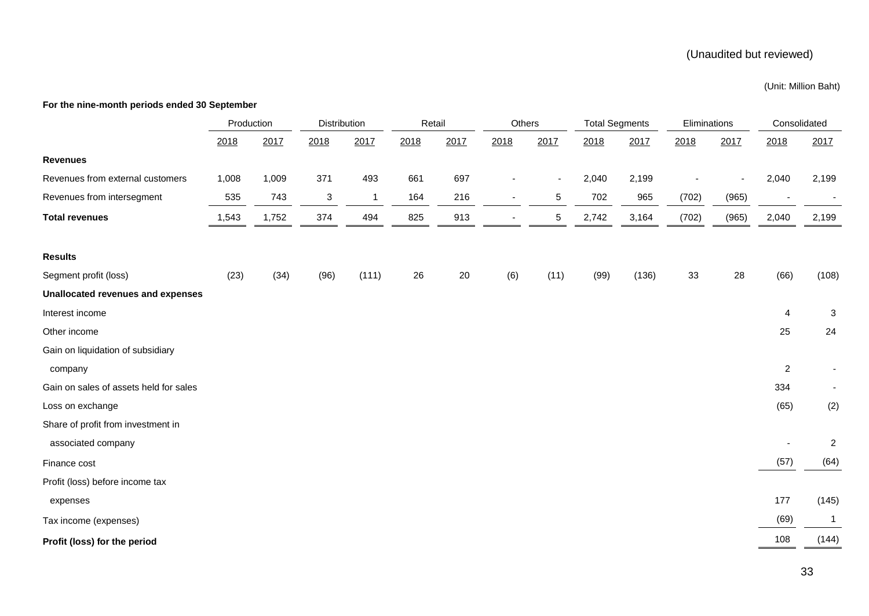# (Unaudited but reviewed)

#### (Unit: Million Baht)

#### **For the nine-month periods ended 30 September**

|                                          | Production |       | Distribution |              | Retail |      | Others |                          | <b>Total Segments</b> |       | Eliminations |       | Consolidated            |                |
|------------------------------------------|------------|-------|--------------|--------------|--------|------|--------|--------------------------|-----------------------|-------|--------------|-------|-------------------------|----------------|
|                                          | 2018       | 2017  | 2018         | 2017         | 2018   | 2017 | 2018   | 2017                     | 2018                  | 2017  | 2018         | 2017  | 2018                    | 2017           |
| <b>Revenues</b>                          |            |       |              |              |        |      |        |                          |                       |       |              |       |                         |                |
| Revenues from external customers         | 1,008      | 1,009 | 371          | 493          | 661    | 697  |        | $\overline{\phantom{a}}$ | 2,040                 | 2,199 |              |       | 2,040                   | 2,199          |
| Revenues from intersegment               | 535        | 743   | $\mathbf{3}$ | $\mathbf{1}$ | 164    | 216  |        | $\,$ 5 $\,$              | 702                   | 965   | (702)        | (965) |                         |                |
| <b>Total revenues</b>                    | 1,543      | 1,752 | 374          | 494          | 825    | 913  |        | 5                        | 2,742                 | 3,164 | (702)        | (965) | 2,040                   | 2,199          |
|                                          |            |       |              |              |        |      |        |                          |                       |       |              |       |                         |                |
| <b>Results</b>                           |            |       |              |              |        |      |        |                          |                       |       |              |       |                         |                |
| Segment profit (loss)                    | (23)       | (34)  | (96)         | (111)        | 26     | 20   | (6)    | (11)                     | (99)                  | (136) | 33           | 28    | (66)                    | (108)          |
| <b>Unallocated revenues and expenses</b> |            |       |              |              |        |      |        |                          |                       |       |              |       |                         |                |
| Interest income                          |            |       |              |              |        |      |        |                          |                       |       |              |       | $\overline{\mathbf{4}}$ | 3              |
| Other income                             |            |       |              |              |        |      |        |                          |                       |       |              |       | 25                      | 24             |
| Gain on liquidation of subsidiary        |            |       |              |              |        |      |        |                          |                       |       |              |       |                         |                |
| company                                  |            |       |              |              |        |      |        |                          |                       |       |              |       | $\overline{2}$          |                |
| Gain on sales of assets held for sales   |            |       |              |              |        |      |        |                          |                       |       |              |       | 334                     |                |
| Loss on exchange                         |            |       |              |              |        |      |        |                          |                       |       |              |       | (65)                    | (2)            |
| Share of profit from investment in       |            |       |              |              |        |      |        |                          |                       |       |              |       |                         |                |
| associated company                       |            |       |              |              |        |      |        |                          |                       |       |              |       |                         | $\overline{2}$ |
| Finance cost                             |            |       |              |              |        |      |        |                          |                       |       |              |       | (57)                    | (64)           |
| Profit (loss) before income tax          |            |       |              |              |        |      |        |                          |                       |       |              |       |                         |                |
| expenses                                 |            |       |              |              |        |      |        |                          |                       |       |              |       | 177                     | (145)          |
| Tax income (expenses)                    |            |       |              |              |        |      |        |                          |                       |       |              |       | (69)                    | $\overline{1}$ |
| Profit (loss) for the period             |            |       |              |              |        |      |        |                          |                       |       |              |       | 108                     | (144)          |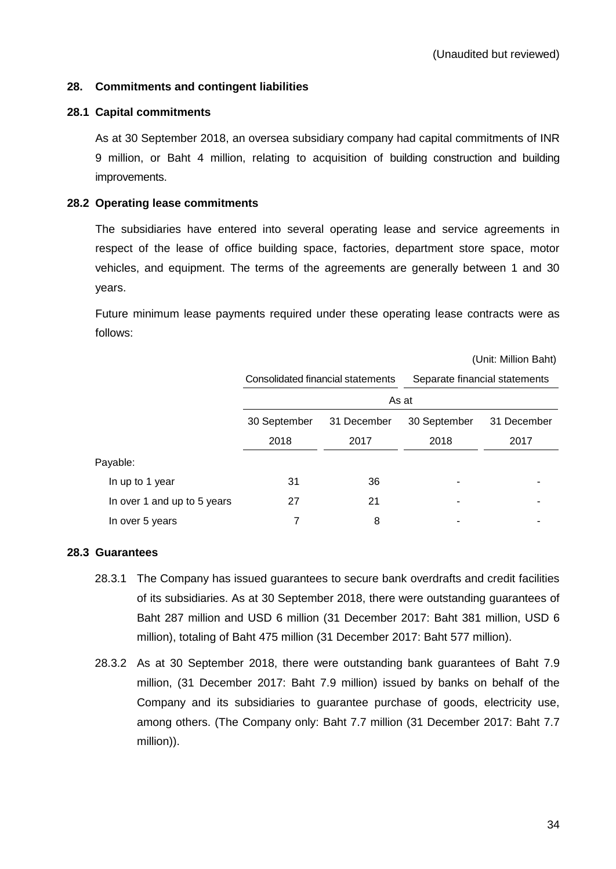#### **28. Commitments and contingent liabilities**

#### **28.1 Capital commitments**

As at 30 September 2018, an oversea subsidiary company had capital commitments of INR 9 million, or Baht 4 million, relating to acquisition of building construction and building improvements.

#### **28.2 Operating lease commitments**

The subsidiaries have entered into several operating lease and service agreements in respect of the lease of office building space, factories, department store space, motor vehicles, and equipment. The terms of the agreements are generally between 1 and 30 years.

Future minimum lease payments required under these operating lease contracts were as follows:

|                             |              |                                   |                               | (Unit: Million Baht) |  |
|-----------------------------|--------------|-----------------------------------|-------------------------------|----------------------|--|
|                             |              | Consolidated financial statements | Separate financial statements |                      |  |
|                             | As at        |                                   |                               |                      |  |
|                             | 30 September | 31 December                       | 30 September                  | 31 December          |  |
|                             | 2018         | 2017                              | 2018                          | 2017                 |  |
| Payable:                    |              |                                   |                               |                      |  |
| In up to 1 year             | 31           | 36                                |                               |                      |  |
| In over 1 and up to 5 years | 27           | 21                                |                               |                      |  |
| In over 5 years             |              | 8                                 |                               |                      |  |

#### **28.3 Guarantees**

- 28.3.1 The Company has issued guarantees to secure bank overdrafts and credit facilities of its subsidiaries. As at 30 September 2018, there were outstanding guarantees of Baht 287 million and USD 6 million (31 December 2017: Baht 381 million, USD 6 million), totaling of Baht 475 million (31 December 2017: Baht 577 million).
- 28.3.2 As at 30 September 2018, there were outstanding bank guarantees of Baht 7.9 million, (31 December 2017: Baht 7.9 million) issued by banks on behalf of the Company and its subsidiaries to guarantee purchase of goods, electricity use, among others. (The Company only: Baht 7.7 million (31 December 2017: Baht 7.7 million)).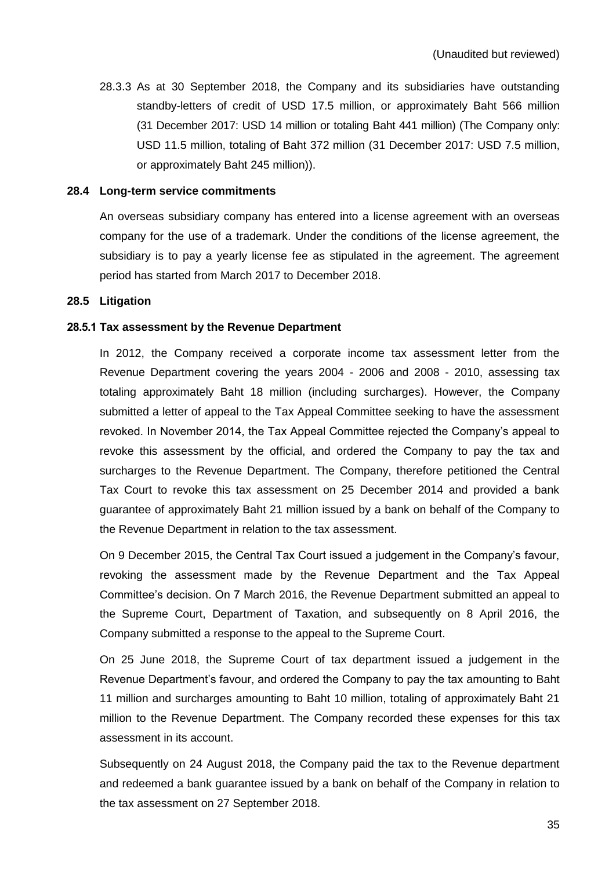28.3.3 As at 30 September 2018, the Company and its subsidiaries have outstanding standby-letters of credit of USD 17.5 million, or approximately Baht 566 million (31 December 2017: USD 14 million or totaling Baht 441 million) (The Company only: USD 11.5 million, totaling of Baht 372 million (31 December 2017: USD 7.5 million, or approximately Baht 245 million)).

#### **28.4 Long-term service commitments**

An overseas subsidiary company has entered into a license agreement with an overseas company for the use of a trademark. Under the conditions of the license agreement, the subsidiary is to pay a yearly license fee as stipulated in the agreement. The agreement period has started from March 2017 to December 2018.

#### **28.5 Litigation**

#### **28.5.1 Tax assessment by the Revenue Department**

In 2012, the Company received a corporate income tax assessment letter from the Revenue Department covering the years 2004 - 2006 and 2008 - 2010, assessing tax totaling approximately Baht 18 million (including surcharges). However, the Company submitted a letter of appeal to the Tax Appeal Committee seeking to have the assessment revoked. In November 2014, the Tax Appeal Committee rejected the Company's appeal to revoke this assessment by the official, and ordered the Company to pay the tax and surcharges to the Revenue Department. The Company, therefore petitioned the Central Tax Court to revoke this tax assessment on 25 December 2014 and provided a bank guarantee of approximately Baht 21 million issued by a bank on behalf of the Company to the Revenue Department in relation to the tax assessment.

On 9 December 2015, the Central Tax Court issued a judgement in the Company's favour, revoking the assessment made by the Revenue Department and the Tax Appeal Committee's decision. On 7 March 2016, the Revenue Department submitted an appeal to the Supreme Court, Department of Taxation, and subsequently on 8 April 2016, the Company submitted a response to the appeal to the Supreme Court.

On 25 June 2018, the Supreme Court of tax department issued a judgement in the Revenue Department's favour, and ordered the Company to pay the tax amounting to Baht 11 million and surcharges amounting to Baht 10 million, totaling of approximately Baht 21 million to the Revenue Department. The Company recorded these expenses for this tax assessment in its account.

Subsequently on 24 August 2018, the Company paid the tax to the Revenue department and redeemed a bank guarantee issued by a bank on behalf of the Company in relation to the tax assessment on 27 September 2018.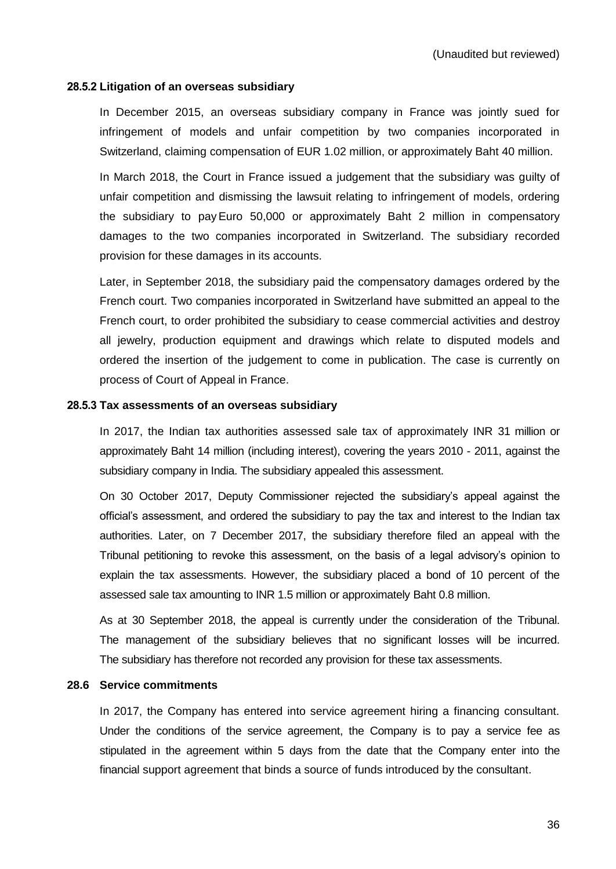#### **28.5.2 Litigation of an overseas subsidiary**

In December 2015, an overseas subsidiary company in France was jointly sued for infringement of models and unfair competition by two companies incorporated in Switzerland, claiming compensation of EUR 1.02 million, or approximately Baht 40 million.

In March 2018, the Court in France issued a judgement that the subsidiary was guilty of unfair competition and dismissing the lawsuit relating to infringement of models, ordering the subsidiary to payEuro 50,000 or approximately Baht 2 million in compensatory damages to the two companies incorporated in Switzerland. The subsidiary recorded provision for these damages in its accounts.

Later, in September 2018, the subsidiary paid the compensatory damages ordered by the French court. Two companies incorporated in Switzerland have submitted an appeal to the French court, to order prohibited the subsidiary to cease commercial activities and destroy all jewelry, production equipment and drawings which relate to disputed models and ordered the insertion of the judgement to come in publication. The case is currently on process of Court of Appeal in France.

#### **28.5.3 Tax assessments of an overseas subsidiary**

In 2017, the Indian tax authorities assessed sale tax of approximately INR 31 million or approximately Baht 14 million (including interest), covering the years 2010 - 2011, against the subsidiary company in India. The subsidiary appealed this assessment.

On 30 October 2017, Deputy Commissioner rejected the subsidiary's appeal against the official's assessment, and ordered the subsidiary to pay the tax and interest to the Indian tax authorities. Later, on 7 December 2017, the subsidiary therefore filed an appeal with the Tribunal petitioning to revoke this assessment, on the basis of a legal advisory's opinion to explain the tax assessments. However, the subsidiary placed a bond of 10 percent of the assessed sale tax amounting to INR 1.5 million or approximately Baht 0.8 million.

As at 30 September 2018, the appeal is currently under the consideration of the Tribunal. The management of the subsidiary believes that no significant losses will be incurred. The subsidiary has therefore not recorded any provision for these tax assessments.

#### **28.6 Service commitments**

In 2017, the Company has entered into service agreement hiring a financing consultant. Under the conditions of the service agreement, the Company is to pay a service fee as stipulated in the agreement within 5 days from the date that the Company enter into the financial support agreement that binds a source of funds introduced by the consultant.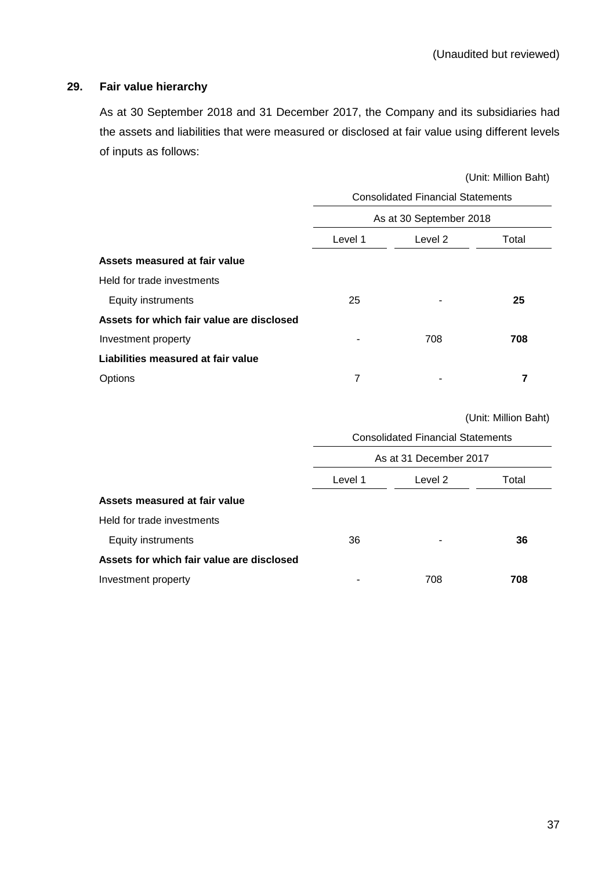# **29. Fair value hierarchy**

As at 30 September 2018 and 31 December 2017, the Company and its subsidiaries had the assets and liabilities that were measured or disclosed at fair value using different levels of inputs as follows:

|                                           | (Unit: Million Baht)                     |     |     |  |  |
|-------------------------------------------|------------------------------------------|-----|-----|--|--|
|                                           | <b>Consolidated Financial Statements</b> |     |     |  |  |
|                                           | As at 30 September 2018                  |     |     |  |  |
|                                           | Level 1<br>Level 2<br>Total              |     |     |  |  |
| Assets measured at fair value             |                                          |     |     |  |  |
| Held for trade investments                |                                          |     |     |  |  |
| <b>Equity instruments</b>                 | 25                                       |     | 25  |  |  |
| Assets for which fair value are disclosed |                                          |     |     |  |  |
| Investment property                       |                                          | 708 | 708 |  |  |
| Liabilities measured at fair value        |                                          |     |     |  |  |
| Options                                   | 7                                        | ۰   | 7   |  |  |

(Unit: Million Baht)

|                                           | <b>Consolidated Financial Statements</b> |       |     |  |  |
|-------------------------------------------|------------------------------------------|-------|-----|--|--|
|                                           | As at 31 December 2017                   |       |     |  |  |
|                                           | Level 1                                  | Total |     |  |  |
| Assets measured at fair value             |                                          |       |     |  |  |
| Held for trade investments                |                                          |       |     |  |  |
| Equity instruments                        | 36                                       | ۰     | 36  |  |  |
| Assets for which fair value are disclosed |                                          |       |     |  |  |
| Investment property                       |                                          | 708   | 708 |  |  |